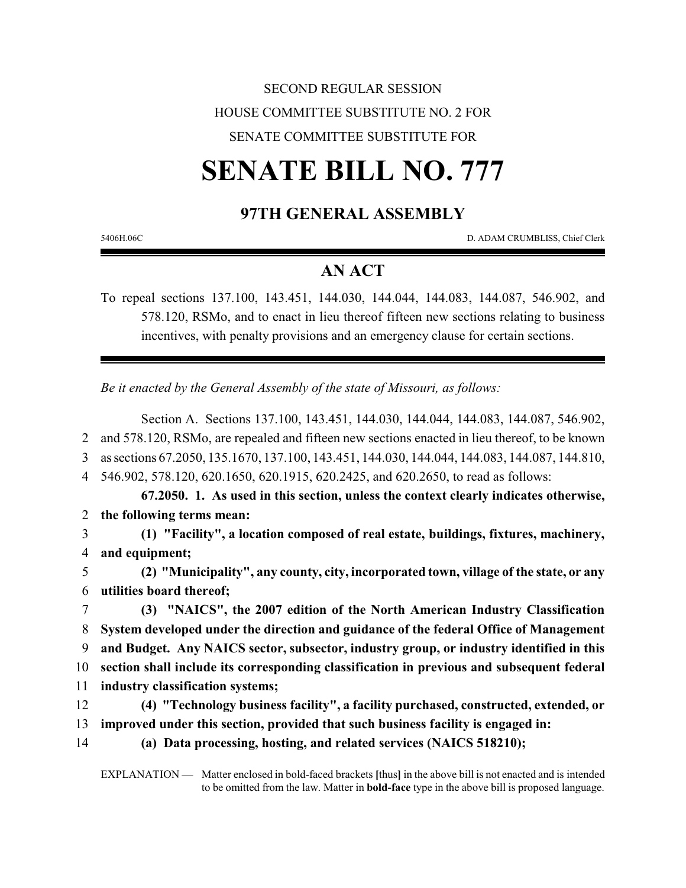# SECOND REGULAR SESSION HOUSE COMMITTEE SUBSTITUTE NO. 2 FOR SENATE COMMITTEE SUBSTITUTE FOR

# **SENATE BILL NO. 777**

# **97TH GENERAL ASSEMBLY**

5406H.06C D. ADAM CRUMBLISS, Chief Clerk

## **AN ACT**

To repeal sections 137.100, 143.451, 144.030, 144.044, 144.083, 144.087, 546.902, and 578.120, RSMo, and to enact in lieu thereof fifteen new sections relating to business incentives, with penalty provisions and an emergency clause for certain sections.

*Be it enacted by the General Assembly of the state of Missouri, as follows:*

Section A. Sections 137.100, 143.451, 144.030, 144.044, 144.083, 144.087, 546.902, and 578.120, RSMo, are repealed and fifteen new sections enacted in lieu thereof, to be known assections 67.2050, 135.1670, 137.100, 143.451, 144.030, 144.044, 144.083, 144.087, 144.810, 546.902, 578.120, 620.1650, 620.1915, 620.2425, and 620.2650, to read as follows: **67.2050. 1. As used in this section, unless the context clearly indicates otherwise, the following terms mean: (1) "Facility", a location composed of real estate, buildings, fixtures, machinery, and equipment; (2) "Municipality", any county, city, incorporated town, village of the state, or any utilities board thereof; (3) "NAICS", the 2007 edition of the North American Industry Classification System developed under the direction and guidance of the federal Office of Management and Budget. Any NAICS sector, subsector, industry group, or industry identified in this section shall include its corresponding classification in previous and subsequent federal industry classification systems; (4) "Technology business facility", a facility purchased, constructed, extended, or improved under this section, provided that such business facility is engaged in: (a) Data processing, hosting, and related services (NAICS 518210);**

EXPLANATION — Matter enclosed in bold-faced brackets **[**thus**]** in the above bill is not enacted and is intended to be omitted from the law. Matter in **bold-face** type in the above bill is proposed language.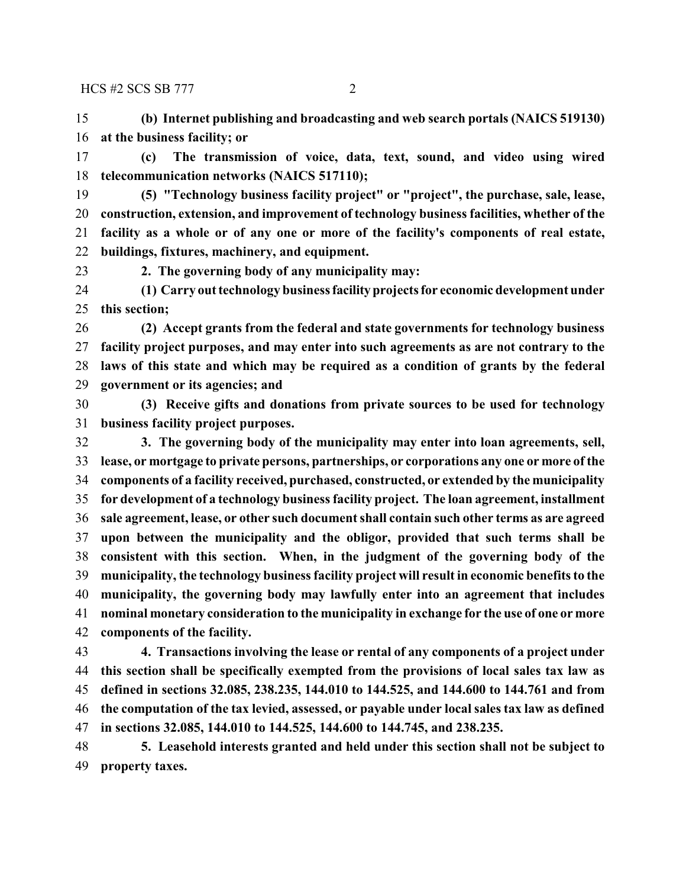$HCS \sharp 2 \; SCS \; SB \; 777$  2

 **(b) Internet publishing and broadcasting and web search portals (NAICS 519130) at the business facility; or**

 **(c) The transmission of voice, data, text, sound, and video using wired telecommunication networks (NAICS 517110);**

 **(5) "Technology business facility project" or "project", the purchase, sale, lease, construction, extension, and improvement of technology business facilities, whether of the facility as a whole or of any one or more of the facility's components of real estate, buildings, fixtures, machinery, and equipment.**

**2. The governing body of any municipality may:**

 **(1) Carry out technology businessfacility projects for economic development under this section;**

 **(2) Accept grants from the federal and state governments for technology business facility project purposes, and may enter into such agreements as are not contrary to the laws of this state and which may be required as a condition of grants by the federal government or its agencies; and**

 **(3) Receive gifts and donations from private sources to be used for technology business facility project purposes.**

 **3. The governing body of the municipality may enter into loan agreements, sell, lease, or mortgage to private persons, partnerships, or corporations any one or more of the components of a facility received, purchased, constructed, or extended by the municipality for development of a technology business facility project. The loan agreement, installment sale agreement, lease, or other such document shall contain such other terms as are agreed upon between the municipality and the obligor, provided that such terms shall be consistent with this section. When, in the judgment of the governing body of the municipality, the technology business facility project will result in economic benefits to the municipality, the governing body may lawfully enter into an agreement that includes nominal monetary consideration to the municipality in exchange for the use of one or more components of the facility.**

 **4. Transactions involving the lease or rental of any components of a project under this section shall be specifically exempted from the provisions of local sales tax law as defined in sections 32.085, 238.235, 144.010 to 144.525, and 144.600 to 144.761 and from the computation of the tax levied, assessed, or payable under local sales tax law as defined in sections 32.085, 144.010 to 144.525, 144.600 to 144.745, and 238.235.**

 **5. Leasehold interests granted and held under this section shall not be subject to property taxes.**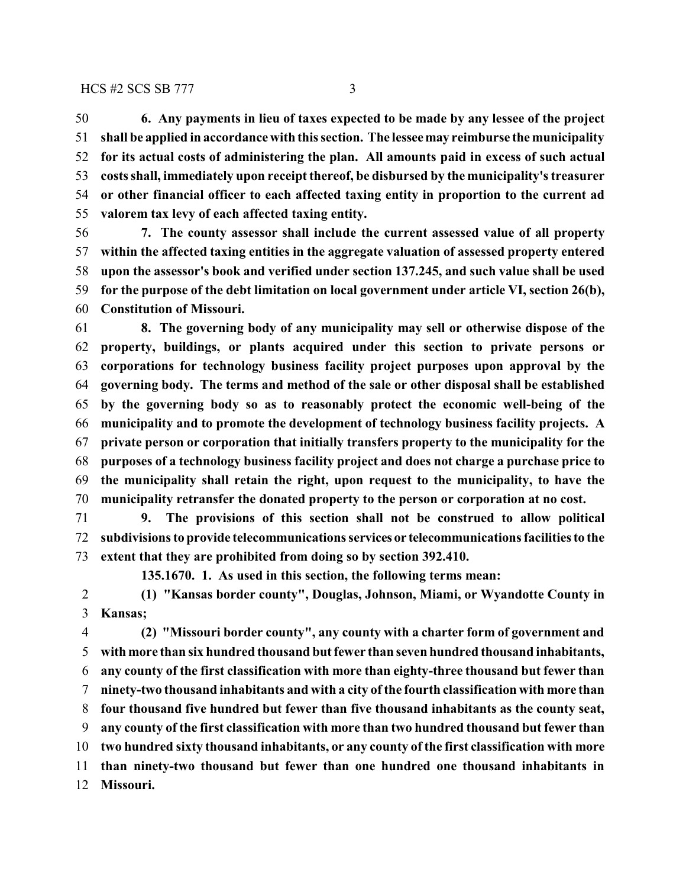**6. Any payments in lieu of taxes expected to be made by any lessee of the project shall be applied in accordance with this section. The lesseemay reimburse the municipality for its actual costs of administering the plan. All amounts paid in excess of such actual costs shall, immediately upon receipt thereof, be disbursed by the municipality's treasurer or other financial officer to each affected taxing entity in proportion to the current ad valorem tax levy of each affected taxing entity.**

 **7. The county assessor shall include the current assessed value of all property within the affected taxing entities in the aggregate valuation of assessed property entered upon the assessor's book and verified under section 137.245, and such value shall be used for the purpose of the debt limitation on local government under article VI, section 26(b), Constitution of Missouri.**

 **8. The governing body of any municipality may sell or otherwise dispose of the property, buildings, or plants acquired under this section to private persons or corporations for technology business facility project purposes upon approval by the governing body. The terms and method of the sale or other disposal shall be established by the governing body so as to reasonably protect the economic well-being of the municipality and to promote the development of technology business facility projects. A private person or corporation that initially transfers property to the municipality for the purposes of a technology business facility project and does not charge a purchase price to the municipality shall retain the right, upon request to the municipality, to have the municipality retransfer the donated property to the person or corporation at no cost.**

 **9. The provisions of this section shall not be construed to allow political subdivisions to provide telecommunications services or telecommunications facilities to the extent that they are prohibited from doing so by section 392.410.**

**135.1670. 1. As used in this section, the following terms mean:**

 **(1) "Kansas border county", Douglas, Johnson, Miami, or Wyandotte County in Kansas;**

 **(2) "Missouri border county", any county with a charter form of government and with more than six hundred thousand but fewer than seven hundred thousand inhabitants, any county of the first classification with more than eighty-three thousand but fewer than ninety-two thousand inhabitants and with a city ofthe fourth classification with more than four thousand five hundred but fewer than five thousand inhabitants as the county seat, any county of the first classification with more than two hundred thousand but fewer than two hundred sixty thousand inhabitants, or any county of the first classification with more than ninety-two thousand but fewer than one hundred one thousand inhabitants in Missouri.**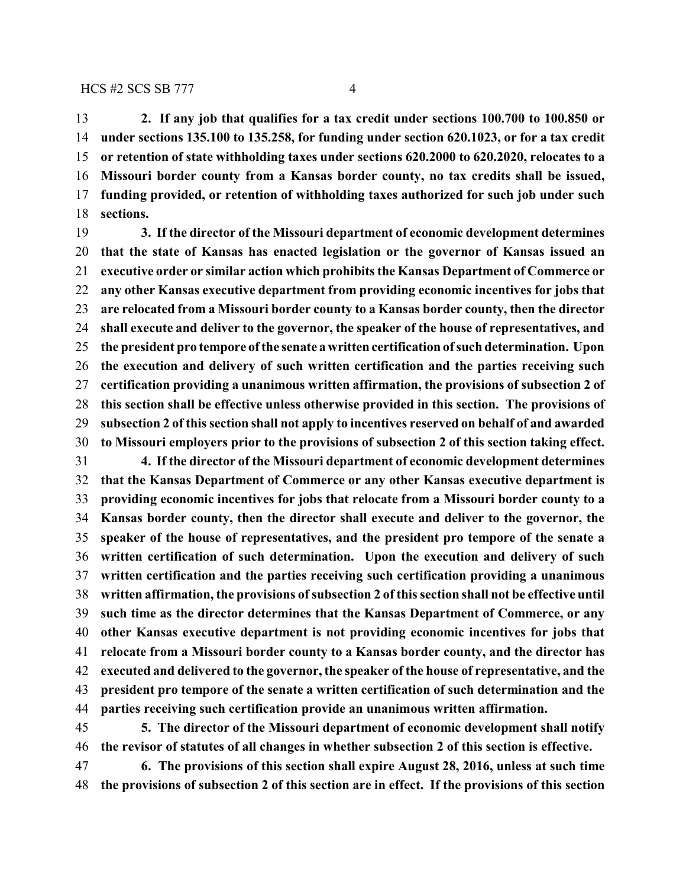**2. If any job that qualifies for a tax credit under sections 100.700 to 100.850 or under sections 135.100 to 135.258, for funding under section 620.1023, or for a tax credit or retention of state withholding taxes under sections 620.2000 to 620.2020, relocates to a Missouri border county from a Kansas border county, no tax credits shall be issued, funding provided, or retention of withholding taxes authorized for such job under such sections.**

 **3. If the director of the Missouri department of economic development determines that the state of Kansas has enacted legislation or the governor of Kansas issued an executive order or similar action which prohibits the Kansas Department of Commerce or any other Kansas executive department from providing economic incentives for jobs that are relocated from a Missouri border county to a Kansas border county, then the director shall execute and deliver to the governor, the speaker of the house of representatives, and the president pro tempore ofthe senate a written certification ofsuch determination. Upon the execution and delivery of such written certification and the parties receiving such certification providing a unanimous written affirmation, the provisions of subsection 2 of this section shall be effective unless otherwise provided in this section. The provisions of subsection 2 of this section shall not apply to incentives reserved on behalf of and awarded to Missouri employers prior to the provisions of subsection 2 of this section taking effect. 4. If the director of the Missouri department of economic development determines that the Kansas Department of Commerce or any other Kansas executive department is providing economic incentives for jobs that relocate from a Missouri border county to a Kansas border county, then the director shall execute and deliver to the governor, the speaker of the house of representatives, and the president pro tempore of the senate a written certification of such determination. Upon the execution and delivery of such written certification and the parties receiving such certification providing a unanimous written affirmation, the provisions ofsubsection 2 of this section shall not be effective until such time as the director determines that the Kansas Department of Commerce, or any other Kansas executive department is not providing economic incentives for jobs that relocate from a Missouri border county to a Kansas border county, and the director has executed and delivered to the governor, the speaker of the house of representative, and the president pro tempore of the senate a written certification of such determination and the parties receiving such certification provide an unanimous written affirmation.**

 **5. The director of the Missouri department of economic development shall notify the revisor of statutes of all changes in whether subsection 2 of this section is effective.**

 **6. The provisions of this section shall expire August 28, 2016, unless at such time the provisions of subsection 2 of this section are in effect. If the provisions of this section**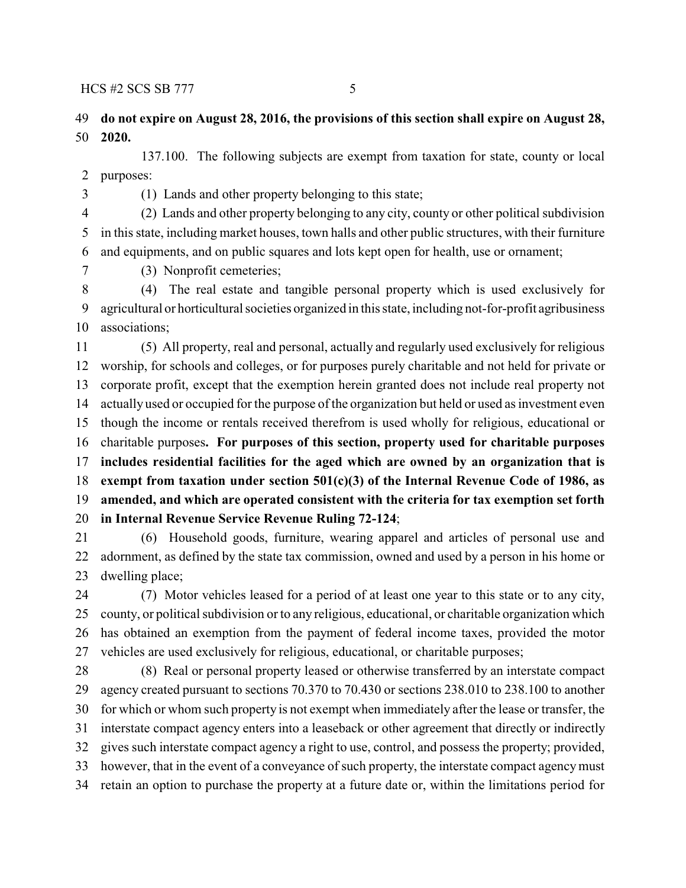## **do not expire on August 28, 2016, the provisions of this section shall expire on August 28, 2020.**

137.100. The following subjects are exempt from taxation for state, county or local purposes:

(1) Lands and other property belonging to this state;

 (2) Lands and other property belonging to any city, county or other political subdivision in this state, including market houses, town halls and other public structures, with their furniture and equipments, and on public squares and lots kept open for health, use or ornament;

(3) Nonprofit cemeteries;

 (4) The real estate and tangible personal property which is used exclusively for agricultural or horticultural societies organized in this state, including not-for-profit agribusiness associations;

 (5) All property, real and personal, actually and regularly used exclusively for religious worship, for schools and colleges, or for purposes purely charitable and not held for private or corporate profit, except that the exemption herein granted does not include real property not actually used or occupied for the purpose of the organization but held or used as investment even though the income or rentals received therefrom is used wholly for religious, educational or charitable purposes**. For purposes of this section, property used for charitable purposes includes residential facilities for the aged which are owned by an organization that is exempt from taxation under section 501(c)(3) of the Internal Revenue Code of 1986, as amended, and which are operated consistent with the criteria for tax exemption set forth in Internal Revenue Service Revenue Ruling 72-124**;

 (6) Household goods, furniture, wearing apparel and articles of personal use and adornment, as defined by the state tax commission, owned and used by a person in his home or dwelling place;

 (7) Motor vehicles leased for a period of at least one year to this state or to any city, county, or political subdivision or to any religious, educational, or charitable organization which has obtained an exemption from the payment of federal income taxes, provided the motor vehicles are used exclusively for religious, educational, or charitable purposes;

 (8) Real or personal property leased or otherwise transferred by an interstate compact agency created pursuant to sections 70.370 to 70.430 or sections 238.010 to 238.100 to another for which or whom such property is not exempt when immediately after the lease or transfer, the interstate compact agency enters into a leaseback or other agreement that directly or indirectly gives such interstate compact agency a right to use, control, and possess the property; provided, however, that in the event of a conveyance of such property, the interstate compact agencymust retain an option to purchase the property at a future date or, within the limitations period for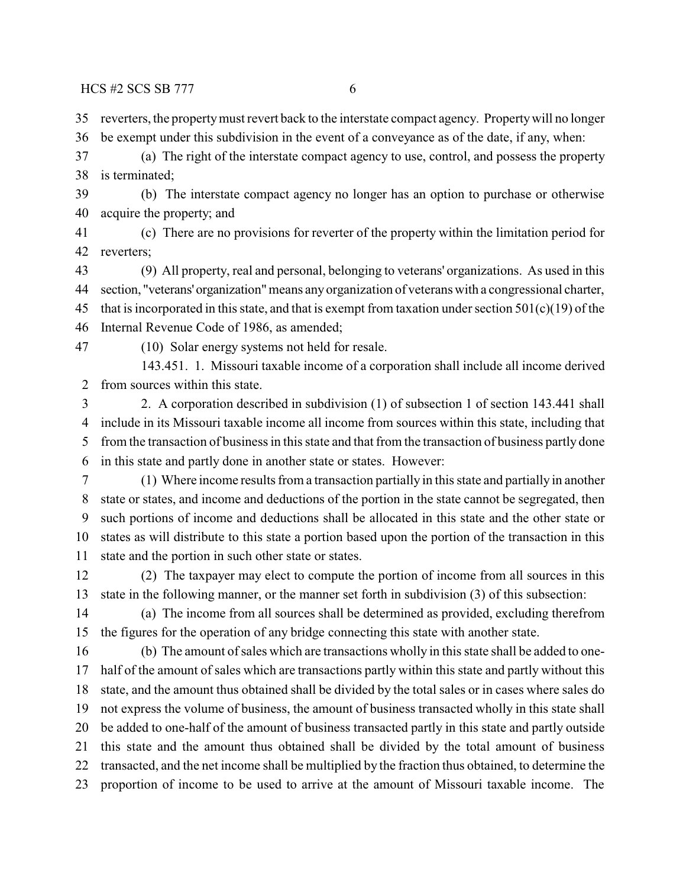reverters, the propertymust revert back to the interstate compact agency. Propertywill no longer

be exempt under this subdivision in the event of a conveyance as of the date, if any, when:

 (a) The right of the interstate compact agency to use, control, and possess the property is terminated;

 (b) The interstate compact agency no longer has an option to purchase or otherwise acquire the property; and

 (c) There are no provisions for reverter of the property within the limitation period for reverters;

 (9) All property, real and personal, belonging to veterans' organizations. As used in this section, "veterans' organization"means anyorganization of veterans with a congressional charter, 45 that is incorporated in this state, and that is exempt from taxation under section  $501(c)(19)$  of the Internal Revenue Code of 1986, as amended;

(10) Solar energy systems not held for resale.

143.451. 1. Missouri taxable income of a corporation shall include all income derived from sources within this state.

 2. A corporation described in subdivision (1) of subsection 1 of section 143.441 shall include in its Missouri taxable income all income from sources within this state, including that from the transaction of business in this state and that from the transaction of business partly done in this state and partly done in another state or states. However:

 (1) Where income results from a transaction partially in this state and partially in another state or states, and income and deductions of the portion in the state cannot be segregated, then such portions of income and deductions shall be allocated in this state and the other state or states as will distribute to this state a portion based upon the portion of the transaction in this state and the portion in such other state or states.

 (2) The taxpayer may elect to compute the portion of income from all sources in this state in the following manner, or the manner set forth in subdivision (3) of this subsection:

 (a) The income from all sources shall be determined as provided, excluding therefrom the figures for the operation of any bridge connecting this state with another state.

 (b) The amount of sales which are transactions wholly in this state shall be added to one- half of the amount of sales which are transactions partly within this state and partly without this state, and the amount thus obtained shall be divided by the total sales or in cases where sales do not express the volume of business, the amount of business transacted wholly in this state shall be added to one-half of the amount of business transacted partly in this state and partly outside this state and the amount thus obtained shall be divided by the total amount of business transacted, and the net income shall be multiplied by the fraction thus obtained, to determine the proportion of income to be used to arrive at the amount of Missouri taxable income. The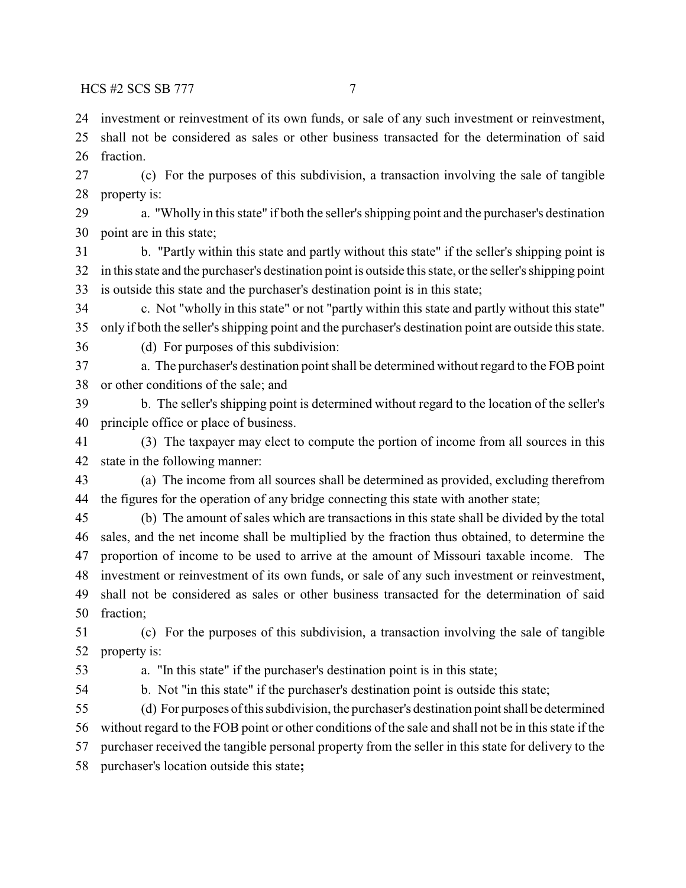$HCS \sharp 2 \; SCS \; SB \; 777$  7

investment or reinvestment of its own funds, or sale of any such investment or reinvestment,

 shall not be considered as sales or other business transacted for the determination of said fraction.

 (c) For the purposes of this subdivision, a transaction involving the sale of tangible property is:

 a. "Wholly in this state" if both the seller's shipping point and the purchaser's destination point are in this state;

 b. "Partly within this state and partly without this state" if the seller's shipping point is in this state and the purchaser's destination point is outside this state, or the seller's shipping point is outside this state and the purchaser's destination point is in this state;

 c. Not "wholly in this state" or not "partly within this state and partly without this state" only if both the seller's shipping point and the purchaser's destination point are outside this state.

(d) For purposes of this subdivision:

 a. The purchaser's destination point shall be determined without regard to the FOB point or other conditions of the sale; and

 b. The seller's shipping point is determined without regard to the location of the seller's principle office or place of business.

 (3) The taxpayer may elect to compute the portion of income from all sources in this state in the following manner:

 (a) The income from all sources shall be determined as provided, excluding therefrom the figures for the operation of any bridge connecting this state with another state;

 (b) The amount of sales which are transactions in this state shall be divided by the total sales, and the net income shall be multiplied by the fraction thus obtained, to determine the proportion of income to be used to arrive at the amount of Missouri taxable income. The investment or reinvestment of its own funds, or sale of any such investment or reinvestment, shall not be considered as sales or other business transacted for the determination of said fraction;

 (c) For the purposes of this subdivision, a transaction involving the sale of tangible property is:

 a. "In this state" if the purchaser's destination point is in this state; b. Not "in this state" if the purchaser's destination point is outside this state;

- (d) For purposes of this subdivision, the purchaser's destination pointshall be determined without regard to the FOB point or other conditions of the sale and shall not be in this state if the purchaser received the tangible personal property from the seller in this state for delivery to the
- purchaser's location outside this state**;**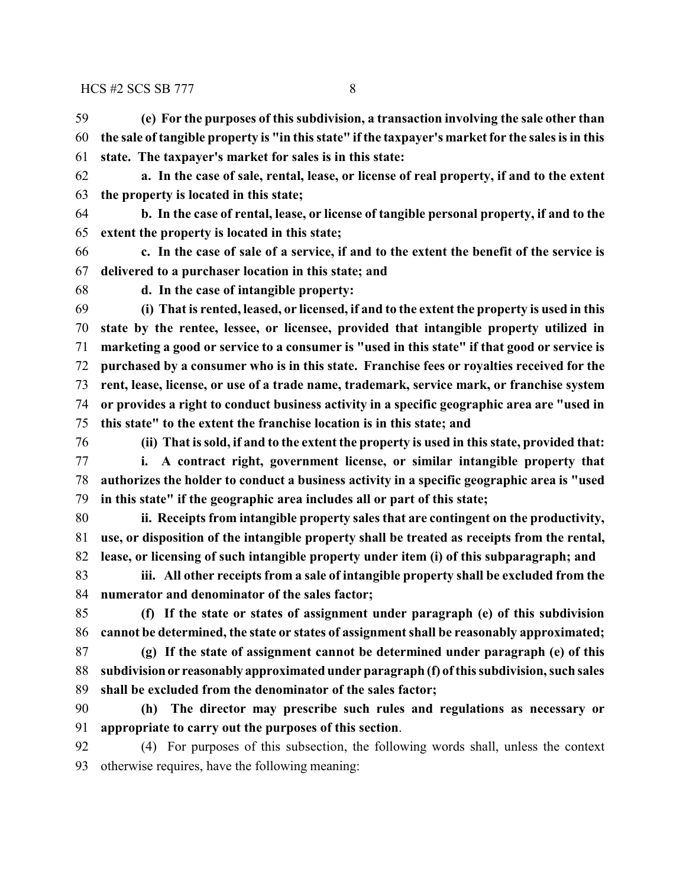$HCS \sharp 2 \; SCS \; SB \; 777$  8

 **(e) For the purposes of this subdivision, a transaction involving the sale other than the sale of tangible property is "in this state" if the taxpayer's market for the sales is in this state. The taxpayer's market for sales is in this state:**

 **a. In the case of sale, rental, lease, or license of real property, if and to the extent the property is located in this state;**

 **b. In the case of rental, lease, or license of tangible personal property, if and to the extent the property is located in this state;**

 **c. In the case of sale of a service, if and to the extent the benefit of the service is delivered to a purchaser location in this state; and**

**d. In the case of intangible property:**

 **(i) That is rented, leased, or licensed, if and to the extent the property is used in this state by the rentee, lessee, or licensee, provided that intangible property utilized in marketing a good or service to a consumer is "used in this state" if that good or service is purchased by a consumer who is in this state. Franchise fees or royalties received for the rent, lease, license, or use of a trade name, trademark, service mark, or franchise system or provides a right to conduct business activity in a specific geographic area are "used in this state" to the extent the franchise location is in this state; and**

 **(ii) That is sold, if and to the extent the property is used in this state, provided that: i. A contract right, government license, or similar intangible property that authorizes the holder to conduct a business activity in a specific geographic area is "used in this state" if the geographic area includes all or part of this state;**

 **ii. Receipts from intangible property sales that are contingent on the productivity, use, or disposition of the intangible property shall be treated as receipts from the rental, lease, or licensing of such intangible property under item (i) of this subparagraph; and** 

 **iii. All other receipts from a sale of intangible property shall be excluded from the numerator and denominator of the sales factor;**

 **(f) If the state or states of assignment under paragraph (e) of this subdivision cannot be determined, the state or states of assignment shall be reasonably approximated;**

 **(g) If the state of assignment cannot be determined under paragraph (e) of this subdivisionor reasonably approximated under paragraph (f) ofthis subdivision, such sales shall be excluded from the denominator of the sales factor;**

 **(h) The director may prescribe such rules and regulations as necessary or appropriate to carry out the purposes of this section**.

 (4) For purposes of this subsection, the following words shall, unless the context otherwise requires, have the following meaning: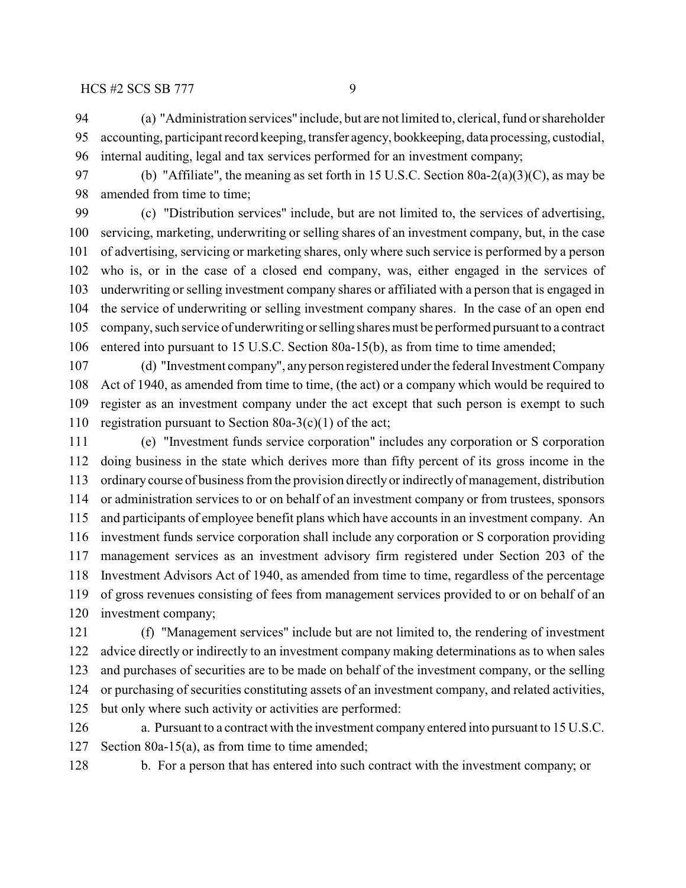(a) "Administration services" include, but are not limited to, clerical, fund or shareholder accounting, participant record keeping, transfer agency, bookkeeping, data processing, custodial, internal auditing, legal and tax services performed for an investment company;

97 (b) "Affiliate", the meaning as set forth in 15 U.S.C. Section  $80a-2(a)(3)(C)$ , as may be amended from time to time;

 (c) "Distribution services" include, but are not limited to, the services of advertising, servicing, marketing, underwriting or selling shares of an investment company, but, in the case of advertising, servicing or marketing shares, only where such service is performed by a person who is, or in the case of a closed end company, was, either engaged in the services of underwriting or selling investment company shares or affiliated with a person that is engaged in the service of underwriting or selling investment company shares. In the case of an open end company, such service of underwriting or selling shares must be performed pursuant to a contract entered into pursuant to 15 U.S.C. Section 80a-15(b), as from time to time amended;

 (d) "Investment company", anyperson registered under the federal Investment Company Act of 1940, as amended from time to time, (the act) or a company which would be required to register as an investment company under the act except that such person is exempt to such registration pursuant to Section 80a-3(c)(1) of the act;

 (e) "Investment funds service corporation" includes any corporation or S corporation doing business in the state which derives more than fifty percent of its gross income in the ordinarycourse of business from the provision directly or indirectly of management, distribution or administration services to or on behalf of an investment company or from trustees, sponsors and participants of employee benefit plans which have accounts in an investment company. An investment funds service corporation shall include any corporation or S corporation providing management services as an investment advisory firm registered under Section 203 of the Investment Advisors Act of 1940, as amended from time to time, regardless of the percentage of gross revenues consisting of fees from management services provided to or on behalf of an investment company;

 (f) "Management services" include but are not limited to, the rendering of investment advice directly or indirectly to an investment company making determinations as to when sales and purchases of securities are to be made on behalf of the investment company, or the selling or purchasing of securities constituting assets of an investment company, and related activities, but only where such activity or activities are performed:

 a. Pursuant to a contract with the investment company entered into pursuant to 15 U.S.C. Section 80a-15(a), as from time to time amended;

b. For a person that has entered into such contract with the investment company; or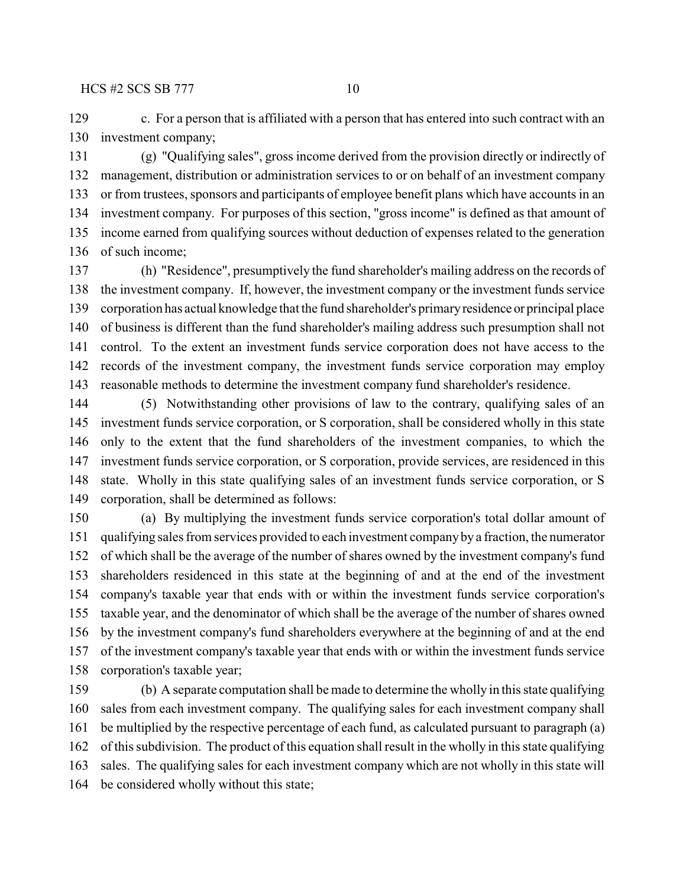$HCS \sharp 2 \; SCS \; SB \; 777$  10

 c. For a person that is affiliated with a person that has entered into such contract with an investment company;

 (g) "Qualifying sales", gross income derived from the provision directly or indirectly of management, distribution or administration services to or on behalf of an investment company or from trustees, sponsors and participants of employee benefit plans which have accounts in an investment company. For purposes of this section, "gross income" is defined as that amount of income earned from qualifying sources without deduction of expenses related to the generation of such income;

 (h) "Residence", presumptively the fund shareholder's mailing address on the records of the investment company. If, however, the investment company or the investment funds service corporation has actual knowledge that the fund shareholder's primaryresidence or principal place of business is different than the fund shareholder's mailing address such presumption shall not control. To the extent an investment funds service corporation does not have access to the records of the investment company, the investment funds service corporation may employ reasonable methods to determine the investment company fund shareholder's residence.

 (5) Notwithstanding other provisions of law to the contrary, qualifying sales of an investment funds service corporation, or S corporation, shall be considered wholly in this state only to the extent that the fund shareholders of the investment companies, to which the investment funds service corporation, or S corporation, provide services, are residenced in this state. Wholly in this state qualifying sales of an investment funds service corporation, or S corporation, shall be determined as follows:

 (a) By multiplying the investment funds service corporation's total dollar amount of qualifying sales from services provided to each investment companyby a fraction, the numerator of which shall be the average of the number of shares owned by the investment company's fund shareholders residenced in this state at the beginning of and at the end of the investment company's taxable year that ends with or within the investment funds service corporation's taxable year, and the denominator of which shall be the average of the number of shares owned by the investment company's fund shareholders everywhere at the beginning of and at the end of the investment company's taxable year that ends with or within the investment funds service corporation's taxable year;

 (b) A separate computation shall be made to determine the wholly in this state qualifying sales from each investment company. The qualifying sales for each investment company shall be multiplied by the respective percentage of each fund, as calculated pursuant to paragraph (a) of this subdivision. The product of this equation shall result in the wholly in this state qualifying sales. The qualifying sales for each investment company which are not wholly in this state will be considered wholly without this state;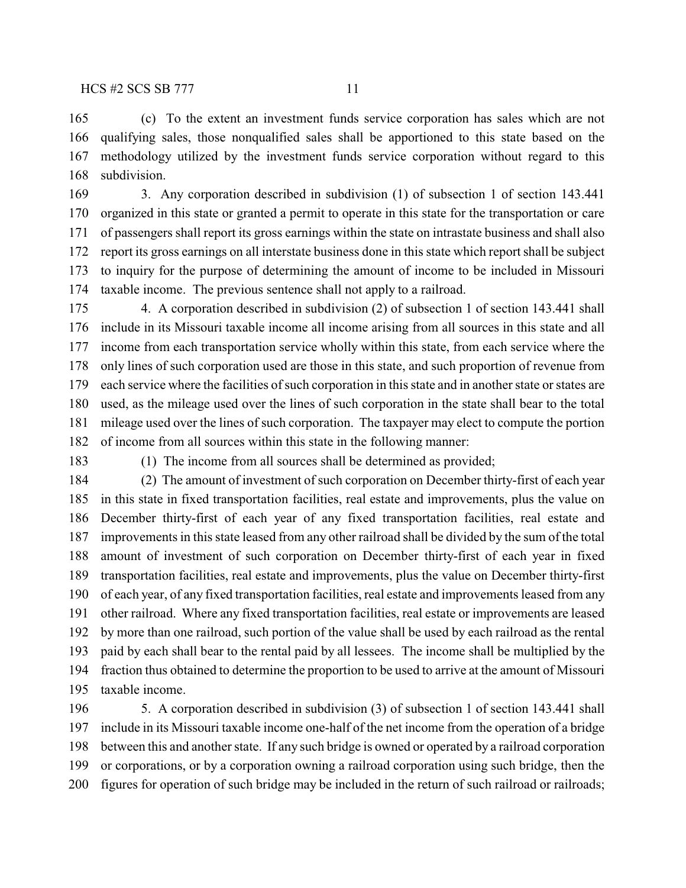(c) To the extent an investment funds service corporation has sales which are not qualifying sales, those nonqualified sales shall be apportioned to this state based on the methodology utilized by the investment funds service corporation without regard to this subdivision.

 3. Any corporation described in subdivision (1) of subsection 1 of section 143.441 organized in this state or granted a permit to operate in this state for the transportation or care of passengers shall report its gross earnings within the state on intrastate business and shall also report its gross earnings on all interstate business done in this state which report shall be subject to inquiry for the purpose of determining the amount of income to be included in Missouri taxable income. The previous sentence shall not apply to a railroad.

 4. A corporation described in subdivision (2) of subsection 1 of section 143.441 shall include in its Missouri taxable income all income arising from all sources in this state and all income from each transportation service wholly within this state, from each service where the only lines of such corporation used are those in this state, and such proportion of revenue from each service where the facilities of such corporation in this state and in another state or states are used, as the mileage used over the lines of such corporation in the state shall bear to the total mileage used over the lines of such corporation. The taxpayer may elect to compute the portion of income from all sources within this state in the following manner:

(1) The income from all sources shall be determined as provided;

 (2) The amount of investment of such corporation on December thirty-first of each year in this state in fixed transportation facilities, real estate and improvements, plus the value on December thirty-first of each year of any fixed transportation facilities, real estate and improvements in this state leased from any other railroad shall be divided by the sum of the total amount of investment of such corporation on December thirty-first of each year in fixed transportation facilities, real estate and improvements, plus the value on December thirty-first of each year, of any fixed transportation facilities, real estate and improvements leased from any other railroad. Where any fixed transportation facilities, real estate or improvements are leased by more than one railroad, such portion of the value shall be used by each railroad as the rental paid by each shall bear to the rental paid by all lessees. The income shall be multiplied by the fraction thus obtained to determine the proportion to be used to arrive at the amount of Missouri taxable income.

 5. A corporation described in subdivision (3) of subsection 1 of section 143.441 shall include in its Missouri taxable income one-half of the net income from the operation of a bridge between this and another state. If any such bridge is owned or operated by a railroad corporation or corporations, or by a corporation owning a railroad corporation using such bridge, then the figures for operation of such bridge may be included in the return of such railroad or railroads;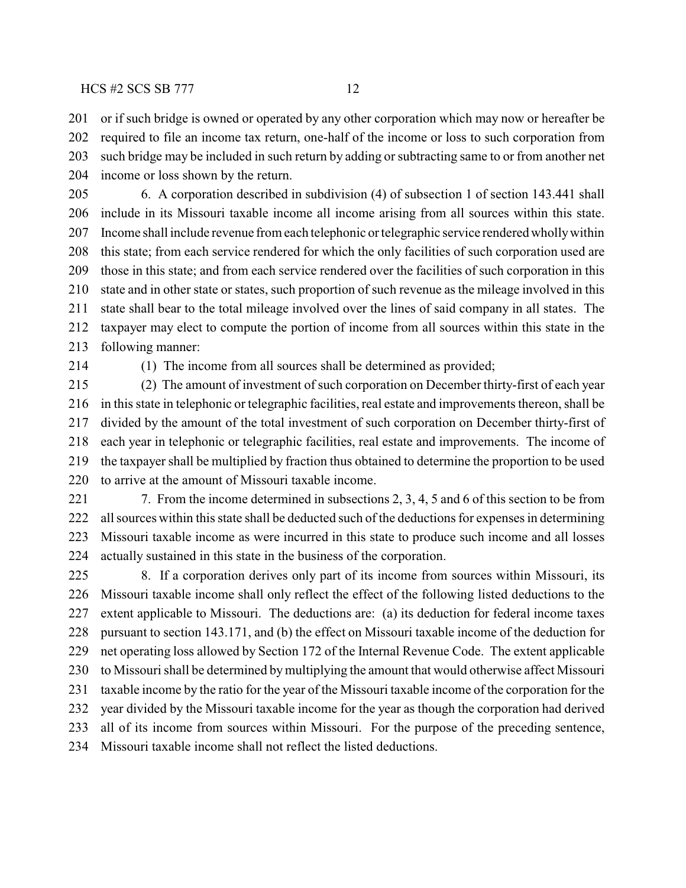or if such bridge is owned or operated by any other corporation which may now or hereafter be required to file an income tax return, one-half of the income or loss to such corporation from such bridge may be included in such return by adding or subtracting same to or from another net income or loss shown by the return.

 6. A corporation described in subdivision (4) of subsection 1 of section 143.441 shall include in its Missouri taxable income all income arising from all sources within this state. Income shall include revenue from each telephonic or telegraphic service rendered whollywithin this state; from each service rendered for which the only facilities of such corporation used are those in this state; and from each service rendered over the facilities of such corporation in this state and in other state or states, such proportion of such revenue as the mileage involved in this state shall bear to the total mileage involved over the lines of said company in all states. The taxpayer may elect to compute the portion of income from all sources within this state in the following manner:

(1) The income from all sources shall be determined as provided;

 (2) The amount of investment of such corporation on December thirty-first of each year in this state in telephonic or telegraphic facilities, real estate and improvements thereon, shall be divided by the amount of the total investment of such corporation on December thirty-first of each year in telephonic or telegraphic facilities, real estate and improvements. The income of the taxpayer shall be multiplied by fraction thus obtained to determine the proportion to be used to arrive at the amount of Missouri taxable income.

221 7. From the income determined in subsections 2, 3, 4, 5 and 6 of this section to be from all sources within this state shall be deducted such of the deductions for expenses in determining Missouri taxable income as were incurred in this state to produce such income and all losses actually sustained in this state in the business of the corporation.

 8. If a corporation derives only part of its income from sources within Missouri, its Missouri taxable income shall only reflect the effect of the following listed deductions to the extent applicable to Missouri. The deductions are: (a) its deduction for federal income taxes pursuant to section 143.171, and (b) the effect on Missouri taxable income of the deduction for net operating loss allowed by Section 172 of the Internal Revenue Code. The extent applicable to Missouri shall be determined bymultiplying the amount that would otherwise affect Missouri taxable income by the ratio for the year of the Missouri taxable income of the corporation for the year divided by the Missouri taxable income for the year as though the corporation had derived all of its income from sources within Missouri. For the purpose of the preceding sentence, Missouri taxable income shall not reflect the listed deductions.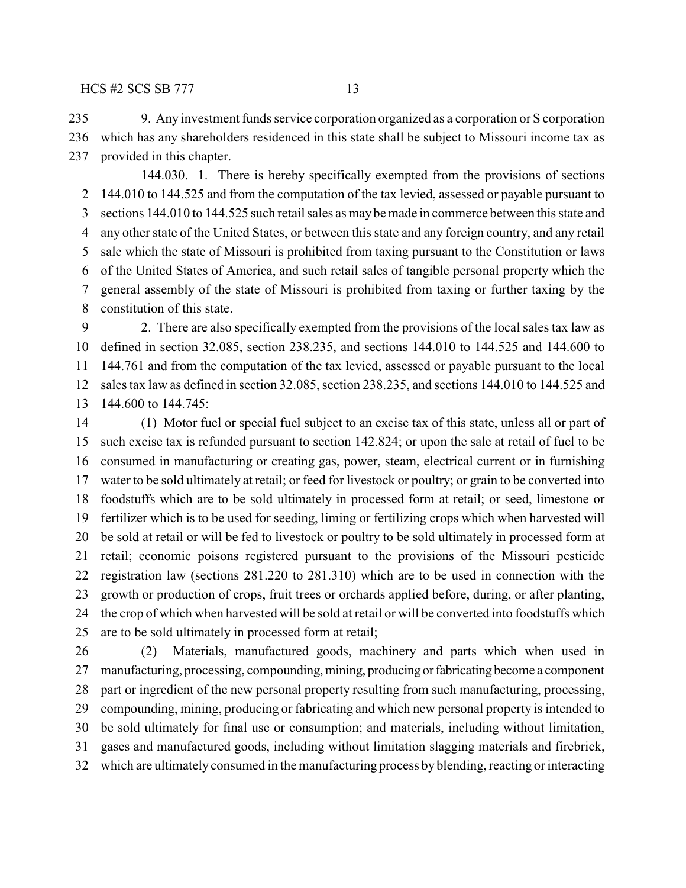9. Any investment funds service corporation organized as a corporation or S corporation which has any shareholders residenced in this state shall be subject to Missouri income tax as provided in this chapter.

144.030. 1. There is hereby specifically exempted from the provisions of sections 144.010 to 144.525 and from the computation of the tax levied, assessed or payable pursuant to sections 144.010 to 144.525 such retail sales as maybe made in commerce between this state and any other state of the United States, or between this state and any foreign country, and any retail sale which the state of Missouri is prohibited from taxing pursuant to the Constitution or laws of the United States of America, and such retail sales of tangible personal property which the general assembly of the state of Missouri is prohibited from taxing or further taxing by the constitution of this state.

 2. There are also specifically exempted from the provisions of the local sales tax law as defined in section 32.085, section 238.235, and sections 144.010 to 144.525 and 144.600 to 144.761 and from the computation of the tax levied, assessed or payable pursuant to the local sales tax law as defined in section 32.085, section 238.235, and sections 144.010 to 144.525 and 144.600 to 144.745:

 (1) Motor fuel or special fuel subject to an excise tax of this state, unless all or part of such excise tax is refunded pursuant to section 142.824; or upon the sale at retail of fuel to be consumed in manufacturing or creating gas, power, steam, electrical current or in furnishing water to be sold ultimately at retail; or feed for livestock or poultry; or grain to be converted into foodstuffs which are to be sold ultimately in processed form at retail; or seed, limestone or fertilizer which is to be used for seeding, liming or fertilizing crops which when harvested will be sold at retail or will be fed to livestock or poultry to be sold ultimately in processed form at retail; economic poisons registered pursuant to the provisions of the Missouri pesticide registration law (sections 281.220 to 281.310) which are to be used in connection with the growth or production of crops, fruit trees or orchards applied before, during, or after planting, the crop of which when harvested will be sold at retail or will be converted into foodstuffs which are to be sold ultimately in processed form at retail;

 (2) Materials, manufactured goods, machinery and parts which when used in 27 manufacturing, processing, compounding, mining, producing or fabricating become a component part or ingredient of the new personal property resulting from such manufacturing, processing, compounding, mining, producing or fabricating and which new personal property is intended to be sold ultimately for final use or consumption; and materials, including without limitation, gases and manufactured goods, including without limitation slagging materials and firebrick, which are ultimately consumed in the manufacturing process by blending, reacting or interacting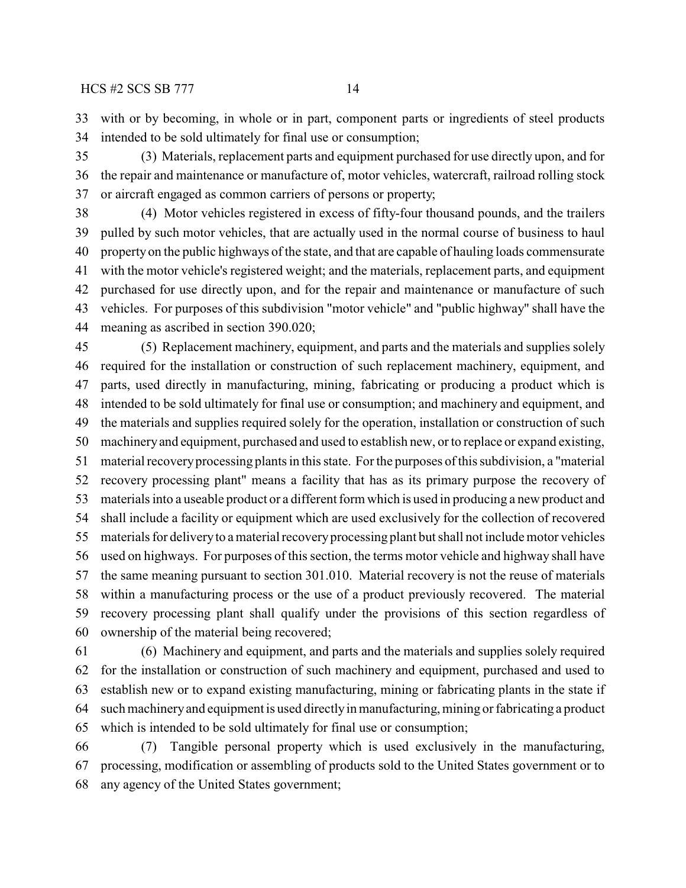## $HCS \sharp 2 \; SCS \; SB \; 777$  14

 with or by becoming, in whole or in part, component parts or ingredients of steel products intended to be sold ultimately for final use or consumption;

 (3) Materials, replacement parts and equipment purchased for use directly upon, and for the repair and maintenance or manufacture of, motor vehicles, watercraft, railroad rolling stock or aircraft engaged as common carriers of persons or property;

 (4) Motor vehicles registered in excess of fifty-four thousand pounds, and the trailers pulled by such motor vehicles, that are actually used in the normal course of business to haul property on the public highways of the state, and that are capable of hauling loads commensurate with the motor vehicle's registered weight; and the materials, replacement parts, and equipment purchased for use directly upon, and for the repair and maintenance or manufacture of such vehicles. For purposes of this subdivision "motor vehicle" and "public highway" shall have the meaning as ascribed in section 390.020;

 (5) Replacement machinery, equipment, and parts and the materials and supplies solely required for the installation or construction of such replacement machinery, equipment, and parts, used directly in manufacturing, mining, fabricating or producing a product which is intended to be sold ultimately for final use or consumption; and machinery and equipment, and the materials and supplies required solely for the operation, installation or construction of such machineryand equipment, purchased and used to establish new, or to replace or expand existing, material recoveryprocessing plants in this state. For the purposes of this subdivision, a "material recovery processing plant" means a facility that has as its primary purpose the recovery of materials into a useable product or a different form which is used in producing a new product and shall include a facility or equipment which are used exclusively for the collection of recovered materials for deliveryto a material recoveryprocessing plant but shall not include motor vehicles used on highways. For purposes of this section, the terms motor vehicle and highway shall have the same meaning pursuant to section 301.010. Material recovery is not the reuse of materials within a manufacturing process or the use of a product previously recovered. The material recovery processing plant shall qualify under the provisions of this section regardless of ownership of the material being recovered;

 (6) Machinery and equipment, and parts and the materials and supplies solely required for the installation or construction of such machinery and equipment, purchased and used to establish new or to expand existing manufacturing, mining or fabricating plants in the state if such machineryand equipment is used directlyin manufacturing, mining or fabricating a product which is intended to be sold ultimately for final use or consumption;

 (7) Tangible personal property which is used exclusively in the manufacturing, processing, modification or assembling of products sold to the United States government or to any agency of the United States government;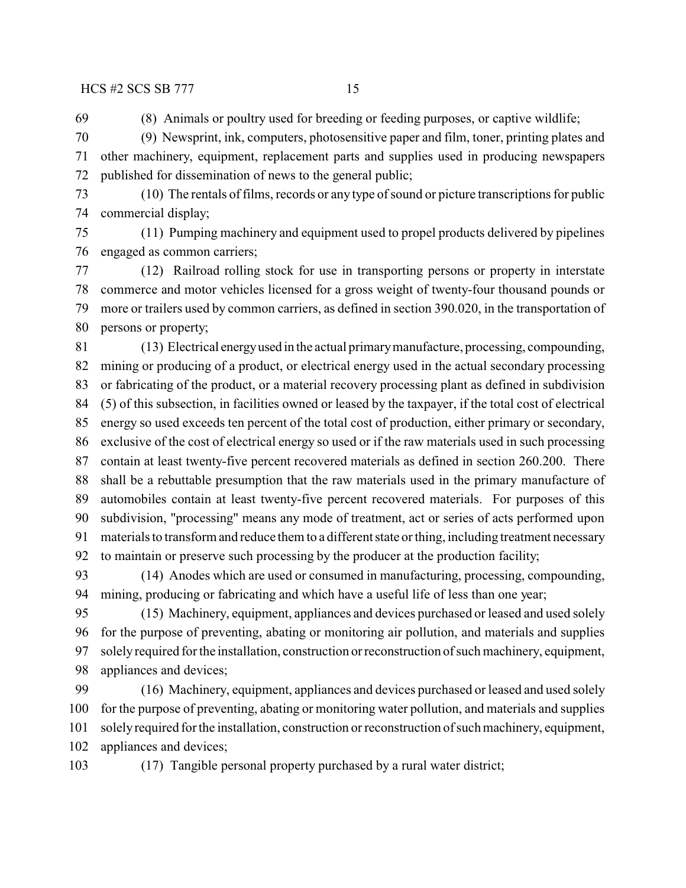(8) Animals or poultry used for breeding or feeding purposes, or captive wildlife;

 (9) Newsprint, ink, computers, photosensitive paper and film, toner, printing plates and other machinery, equipment, replacement parts and supplies used in producing newspapers published for dissemination of news to the general public;

 (10) The rentals of films, records or any type of sound or picture transcriptions for public commercial display;

 (11) Pumping machinery and equipment used to propel products delivered by pipelines engaged as common carriers;

 (12) Railroad rolling stock for use in transporting persons or property in interstate commerce and motor vehicles licensed for a gross weight of twenty-four thousand pounds or more or trailers used by common carriers, as defined in section 390.020, in the transportation of persons or property;

 (13) Electrical energyused in the actual primarymanufacture, processing, compounding, mining or producing of a product, or electrical energy used in the actual secondary processing or fabricating of the product, or a material recovery processing plant as defined in subdivision (5) of this subsection, in facilities owned or leased by the taxpayer, if the total cost of electrical energy so used exceeds ten percent of the total cost of production, either primary or secondary, exclusive of the cost of electrical energy so used or if the raw materials used in such processing contain at least twenty-five percent recovered materials as defined in section 260.200. There shall be a rebuttable presumption that the raw materials used in the primary manufacture of automobiles contain at least twenty-five percent recovered materials. For purposes of this subdivision, "processing" means any mode of treatment, act or series of acts performed upon materials to transform and reduce them to a different state or thing, including treatment necessary to maintain or preserve such processing by the producer at the production facility;

 (14) Anodes which are used or consumed in manufacturing, processing, compounding, mining, producing or fabricating and which have a useful life of less than one year;

 (15) Machinery, equipment, appliances and devices purchased or leased and used solely for the purpose of preventing, abating or monitoring air pollution, and materials and supplies solely required for the installation, construction or reconstruction of such machinery, equipment, appliances and devices;

 (16) Machinery, equipment, appliances and devices purchased or leased and used solely for the purpose of preventing, abating or monitoring water pollution, and materials and supplies solelyrequired for the installation, construction or reconstruction of such machinery, equipment, appliances and devices;

(17) Tangible personal property purchased by a rural water district;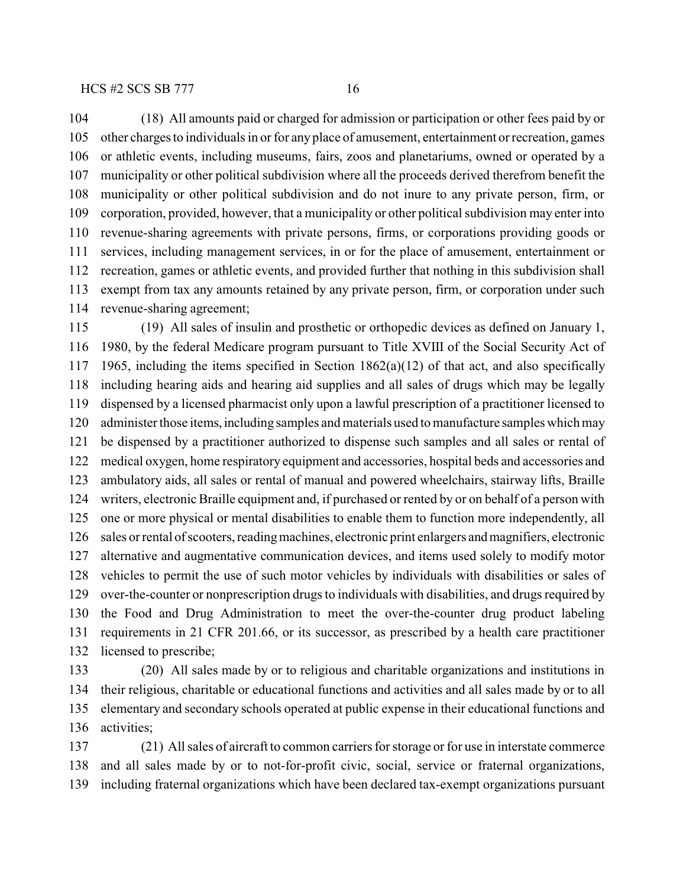(18) All amounts paid or charged for admission or participation or other fees paid by or other charges to individuals in or for any place of amusement, entertainment or recreation, games or athletic events, including museums, fairs, zoos and planetariums, owned or operated by a municipality or other political subdivision where all the proceeds derived therefrom benefit the municipality or other political subdivision and do not inure to any private person, firm, or corporation, provided, however, that a municipality or other political subdivision may enter into revenue-sharing agreements with private persons, firms, or corporations providing goods or services, including management services, in or for the place of amusement, entertainment or recreation, games or athletic events, and provided further that nothing in this subdivision shall exempt from tax any amounts retained by any private person, firm, or corporation under such revenue-sharing agreement;

 (19) All sales of insulin and prosthetic or orthopedic devices as defined on January 1, 1980, by the federal Medicare program pursuant to Title XVIII of the Social Security Act of 1965, including the items specified in Section 1862(a)(12) of that act, and also specifically including hearing aids and hearing aid supplies and all sales of drugs which may be legally dispensed by a licensed pharmacist only upon a lawful prescription of a practitioner licensed to administer those items, including samples and materials used to manufacture samples which may be dispensed by a practitioner authorized to dispense such samples and all sales or rental of medical oxygen, home respiratory equipment and accessories, hospital beds and accessories and ambulatory aids, all sales or rental of manual and powered wheelchairs, stairway lifts, Braille writers, electronic Braille equipment and, if purchased or rented by or on behalf of a person with one or more physical or mental disabilities to enable them to function more independently, all sales or rental of scooters, readingmachines, electronic print enlargers andmagnifiers, electronic alternative and augmentative communication devices, and items used solely to modify motor vehicles to permit the use of such motor vehicles by individuals with disabilities or sales of over-the-counter or nonprescription drugs to individuals with disabilities, and drugs required by the Food and Drug Administration to meet the over-the-counter drug product labeling requirements in 21 CFR 201.66, or its successor, as prescribed by a health care practitioner licensed to prescribe;

 (20) All sales made by or to religious and charitable organizations and institutions in their religious, charitable or educational functions and activities and all sales made by or to all elementary and secondary schools operated at public expense in their educational functions and activities;

 (21) All sales of aircraft to common carriers for storage or for use in interstate commerce and all sales made by or to not-for-profit civic, social, service or fraternal organizations, including fraternal organizations which have been declared tax-exempt organizations pursuant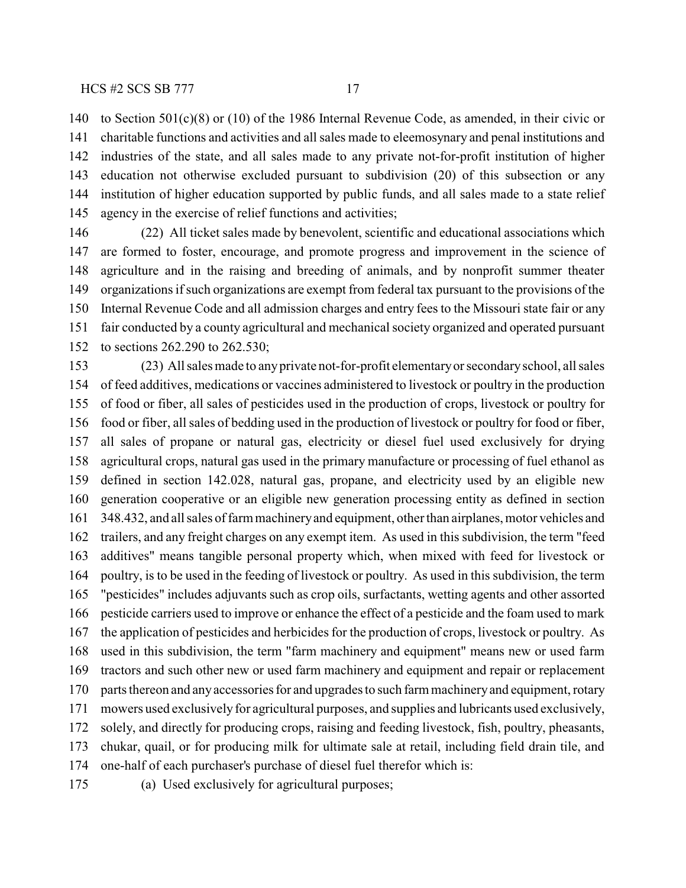to Section 501(c)(8) or (10) of the 1986 Internal Revenue Code, as amended, in their civic or charitable functions and activities and all sales made to eleemosynary and penal institutions and industries of the state, and all sales made to any private not-for-profit institution of higher education not otherwise excluded pursuant to subdivision (20) of this subsection or any institution of higher education supported by public funds, and all sales made to a state relief agency in the exercise of relief functions and activities;

 (22) All ticket sales made by benevolent, scientific and educational associations which are formed to foster, encourage, and promote progress and improvement in the science of agriculture and in the raising and breeding of animals, and by nonprofit summer theater organizations if such organizations are exempt from federal tax pursuant to the provisions of the Internal Revenue Code and all admission charges and entry fees to the Missouri state fair or any fair conducted by a county agricultural and mechanical society organized and operated pursuant to sections 262.290 to 262.530;

 (23) All sales made to anyprivate not-for-profit elementaryor secondaryschool, all sales of feed additives, medications or vaccines administered to livestock or poultry in the production of food or fiber, all sales of pesticides used in the production of crops, livestock or poultry for food or fiber, all sales of bedding used in the production of livestock or poultry for food or fiber, all sales of propane or natural gas, electricity or diesel fuel used exclusively for drying agricultural crops, natural gas used in the primary manufacture or processing of fuel ethanol as defined in section 142.028, natural gas, propane, and electricity used by an eligible new generation cooperative or an eligible new generation processing entity as defined in section 348.432, and all sales of farm machineryand equipment, other than airplanes, motor vehicles and trailers, and any freight charges on any exempt item. As used in this subdivision, the term "feed additives" means tangible personal property which, when mixed with feed for livestock or poultry, is to be used in the feeding of livestock or poultry. As used in this subdivision, the term "pesticides" includes adjuvants such as crop oils, surfactants, wetting agents and other assorted pesticide carriers used to improve or enhance the effect of a pesticide and the foam used to mark the application of pesticides and herbicides for the production of crops, livestock or poultry. As used in this subdivision, the term "farm machinery and equipment" means new or used farm tractors and such other new or used farm machinery and equipment and repair or replacement parts thereon and anyaccessories for and upgrades to such farm machineryand equipment, rotary mowers used exclusively for agricultural purposes, and supplies and lubricants used exclusively, solely, and directly for producing crops, raising and feeding livestock, fish, poultry, pheasants, chukar, quail, or for producing milk for ultimate sale at retail, including field drain tile, and one-half of each purchaser's purchase of diesel fuel therefor which is:

(a) Used exclusively for agricultural purposes;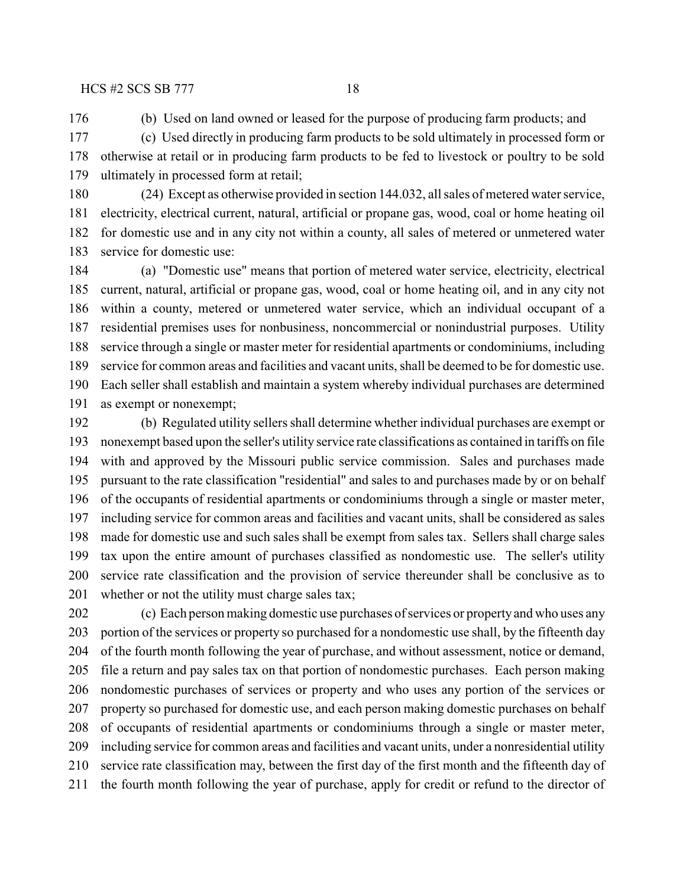(b) Used on land owned or leased for the purpose of producing farm products; and

 (c) Used directly in producing farm products to be sold ultimately in processed form or otherwise at retail or in producing farm products to be fed to livestock or poultry to be sold ultimately in processed form at retail;

 (24) Except as otherwise provided in section 144.032, all sales of metered water service, electricity, electrical current, natural, artificial or propane gas, wood, coal or home heating oil for domestic use and in any city not within a county, all sales of metered or unmetered water service for domestic use:

 (a) "Domestic use" means that portion of metered water service, electricity, electrical current, natural, artificial or propane gas, wood, coal or home heating oil, and in any city not within a county, metered or unmetered water service, which an individual occupant of a residential premises uses for nonbusiness, noncommercial or nonindustrial purposes. Utility service through a single or master meter for residential apartments or condominiums, including service for common areas and facilities and vacant units, shall be deemed to be for domestic use. Each seller shall establish and maintain a system whereby individual purchases are determined as exempt or nonexempt;

 (b) Regulated utility sellers shall determine whether individual purchases are exempt or nonexempt based upon the seller's utility service rate classifications as contained in tariffs on file with and approved by the Missouri public service commission. Sales and purchases made pursuant to the rate classification "residential" and sales to and purchases made by or on behalf of the occupants of residential apartments or condominiums through a single or master meter, including service for common areas and facilities and vacant units, shall be considered as sales made for domestic use and such sales shall be exempt from sales tax. Sellers shall charge sales tax upon the entire amount of purchases classified as nondomestic use. The seller's utility service rate classification and the provision of service thereunder shall be conclusive as to whether or not the utility must charge sales tax;

 (c) Each person making domestic use purchases of services or propertyand who uses any portion of the services or property so purchased for a nondomestic use shall, by the fifteenth day of the fourth month following the year of purchase, and without assessment, notice or demand, file a return and pay sales tax on that portion of nondomestic purchases. Each person making nondomestic purchases of services or property and who uses any portion of the services or property so purchased for domestic use, and each person making domestic purchases on behalf of occupants of residential apartments or condominiums through a single or master meter, including service for common areas and facilities and vacant units, under a nonresidential utility service rate classification may, between the first day of the first month and the fifteenth day of the fourth month following the year of purchase, apply for credit or refund to the director of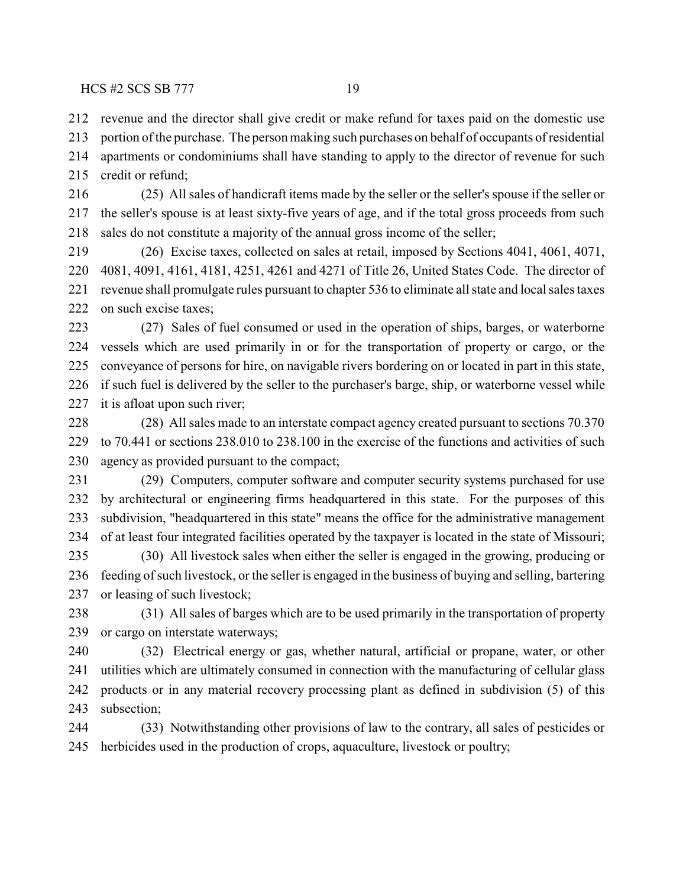revenue and the director shall give credit or make refund for taxes paid on the domestic use

 portion of the purchase. The person making such purchases on behalf of occupants of residential apartments or condominiums shall have standing to apply to the director of revenue for such credit or refund;

 (25) All sales of handicraft items made by the seller or the seller's spouse if the seller or the seller's spouse is at least sixty-five years of age, and if the total gross proceeds from such sales do not constitute a majority of the annual gross income of the seller;

 (26) Excise taxes, collected on sales at retail, imposed by Sections 4041, 4061, 4071, 4081, 4091, 4161, 4181, 4251, 4261 and 4271 of Title 26, United States Code. The director of revenue shall promulgate rules pursuant to chapter 536 to eliminate all state and local sales taxes on such excise taxes;

 (27) Sales of fuel consumed or used in the operation of ships, barges, or waterborne vessels which are used primarily in or for the transportation of property or cargo, or the conveyance of persons for hire, on navigable rivers bordering on or located in part in this state, if such fuel is delivered by the seller to the purchaser's barge, ship, or waterborne vessel while it is afloat upon such river;

 (28) All sales made to an interstate compact agency created pursuant to sections 70.370 to 70.441 or sections 238.010 to 238.100 in the exercise of the functions and activities of such agency as provided pursuant to the compact;

 (29) Computers, computer software and computer security systems purchased for use by architectural or engineering firms headquartered in this state. For the purposes of this subdivision, "headquartered in this state" means the office for the administrative management of at least four integrated facilities operated by the taxpayer is located in the state of Missouri;

 (30) All livestock sales when either the seller is engaged in the growing, producing or feeding of such livestock, or the seller is engaged in the business of buying and selling, bartering or leasing of such livestock;

 (31) All sales of barges which are to be used primarily in the transportation of property or cargo on interstate waterways;

 (32) Electrical energy or gas, whether natural, artificial or propane, water, or other utilities which are ultimately consumed in connection with the manufacturing of cellular glass products or in any material recovery processing plant as defined in subdivision (5) of this subsection;

 (33) Notwithstanding other provisions of law to the contrary, all sales of pesticides or herbicides used in the production of crops, aquaculture, livestock or poultry;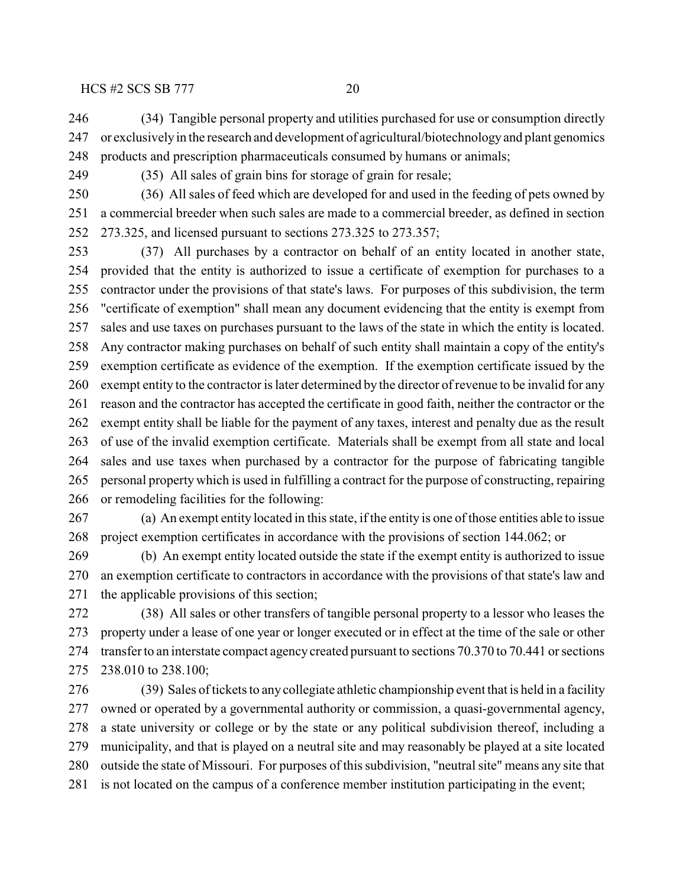(34) Tangible personal property and utilities purchased for use or consumption directly 247 or exclusively in the research and development of agricultural/biotechnology and plant genomics products and prescription pharmaceuticals consumed by humans or animals;

(35) All sales of grain bins for storage of grain for resale;

 (36) All sales of feed which are developed for and used in the feeding of pets owned by a commercial breeder when such sales are made to a commercial breeder, as defined in section 273.325, and licensed pursuant to sections 273.325 to 273.357;

 (37) All purchases by a contractor on behalf of an entity located in another state, provided that the entity is authorized to issue a certificate of exemption for purchases to a contractor under the provisions of that state's laws. For purposes of this subdivision, the term "certificate of exemption" shall mean any document evidencing that the entity is exempt from sales and use taxes on purchases pursuant to the laws of the state in which the entity is located. Any contractor making purchases on behalf of such entity shall maintain a copy of the entity's exemption certificate as evidence of the exemption. If the exemption certificate issued by the exempt entity to the contractor is later determined by the director of revenue to be invalid for any reason and the contractor has accepted the certificate in good faith, neither the contractor or the exempt entity shall be liable for the payment of any taxes, interest and penalty due as the result of use of the invalid exemption certificate. Materials shall be exempt from all state and local sales and use taxes when purchased by a contractor for the purpose of fabricating tangible personal property which is used in fulfilling a contract for the purpose of constructing, repairing or remodeling facilities for the following:

 (a) An exempt entity located in this state, if the entity is one of those entities able to issue project exemption certificates in accordance with the provisions of section 144.062; or

 (b) An exempt entity located outside the state if the exempt entity is authorized to issue an exemption certificate to contractors in accordance with the provisions of that state's law and the applicable provisions of this section;

 (38) All sales or other transfers of tangible personal property to a lessor who leases the property under a lease of one year or longer executed or in effect at the time of the sale or other 274 transfer to an interstate compact agency created pursuant to sections 70.370 to 70.441 or sections 238.010 to 238.100;

 (39) Sales of tickets to any collegiate athletic championship event that is held in a facility owned or operated by a governmental authority or commission, a quasi-governmental agency, a state university or college or by the state or any political subdivision thereof, including a municipality, and that is played on a neutral site and may reasonably be played at a site located outside the state of Missouri. For purposes of this subdivision, "neutral site" means any site that is not located on the campus of a conference member institution participating in the event;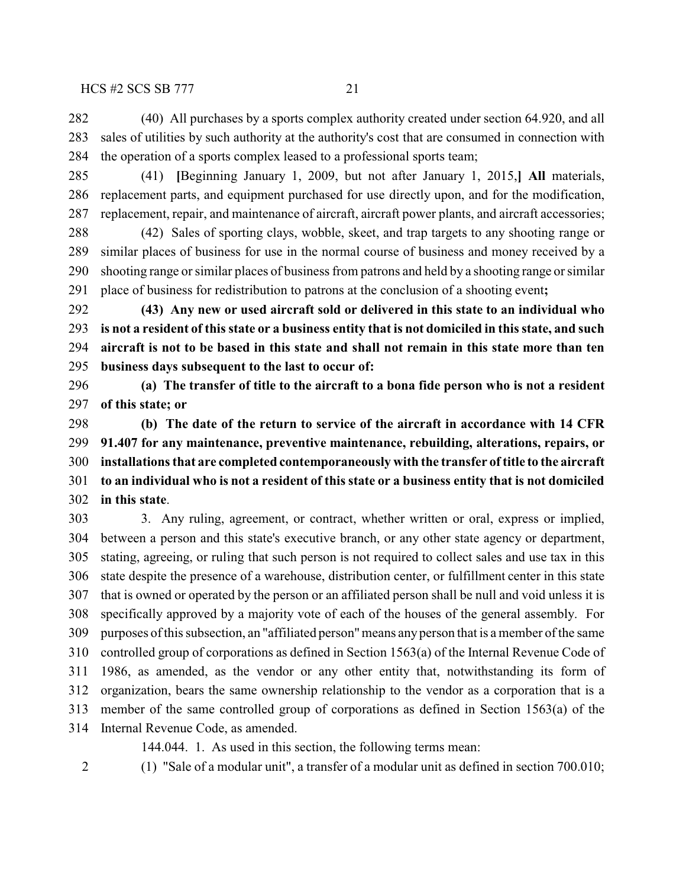(40) All purchases by a sports complex authority created under section 64.920, and all sales of utilities by such authority at the authority's cost that are consumed in connection with the operation of a sports complex leased to a professional sports team;

 (41) **[**Beginning January 1, 2009, but not after January 1, 2015,**] All** materials, replacement parts, and equipment purchased for use directly upon, and for the modification, replacement, repair, and maintenance of aircraft, aircraft power plants, and aircraft accessories;

 (42) Sales of sporting clays, wobble, skeet, and trap targets to any shooting range or similar places of business for use in the normal course of business and money received by a shooting range or similar places of business from patrons and held by a shooting range or similar place of business for redistribution to patrons at the conclusion of a shooting event**;**

 **(43) Any new or used aircraft sold or delivered in this state to an individual who is not a resident of this state or a business entity that is not domiciled in this state, and such aircraft is not to be based in this state and shall not remain in this state more than ten business days subsequent to the last to occur of:**

 **(a) The transfer of title to the aircraft to a bona fide person who is not a resident of this state; or**

 **(b) The date of the return to service of the aircraft in accordance with 14 CFR 91.407 for any maintenance, preventive maintenance, rebuilding, alterations, repairs, or installations that are completed contemporaneously with the transfer of title to the aircraft to an individual who is not a resident of this state or a business entity that is not domiciled in this state**.

 3. Any ruling, agreement, or contract, whether written or oral, express or implied, between a person and this state's executive branch, or any other state agency or department, stating, agreeing, or ruling that such person is not required to collect sales and use tax in this state despite the presence of a warehouse, distribution center, or fulfillment center in this state that is owned or operated by the person or an affiliated person shall be null and void unless it is specifically approved by a majority vote of each of the houses of the general assembly. For purposes of this subsection, an "affiliated person"means anyperson that is a member of the same controlled group of corporations as defined in Section 1563(a) of the Internal Revenue Code of 1986, as amended, as the vendor or any other entity that, notwithstanding its form of organization, bears the same ownership relationship to the vendor as a corporation that is a member of the same controlled group of corporations as defined in Section 1563(a) of the Internal Revenue Code, as amended.

144.044. 1. As used in this section, the following terms mean:

(1) "Sale of a modular unit", a transfer of a modular unit as defined in section 700.010;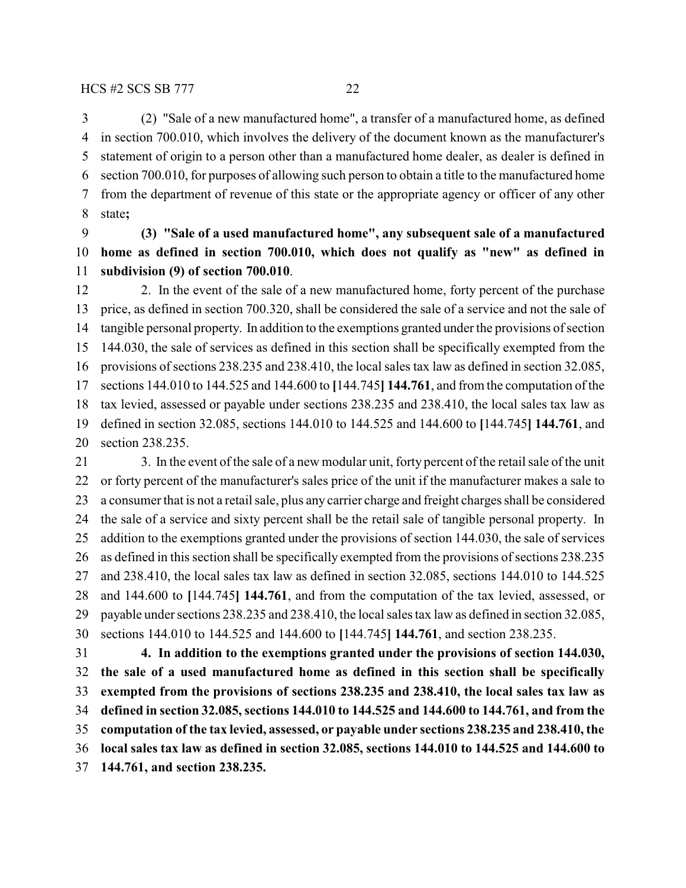(2) "Sale of a new manufactured home", a transfer of a manufactured home, as defined in section 700.010, which involves the delivery of the document known as the manufacturer's statement of origin to a person other than a manufactured home dealer, as dealer is defined in section 700.010, for purposes of allowing such person to obtain a title to the manufactured home from the department of revenue of this state or the appropriate agency or officer of any other state**;**

 **(3) "Sale of a used manufactured home", any subsequent sale of a manufactured home as defined in section 700.010, which does not qualify as "new" as defined in subdivision (9) of section 700.010**.

12 2. In the event of the sale of a new manufactured home, forty percent of the purchase price, as defined in section 700.320, shall be considered the sale of a service and not the sale of tangible personal property. In addition to the exemptions granted under the provisions of section 144.030, the sale of services as defined in this section shall be specifically exempted from the provisions of sections 238.235 and 238.410, the local sales tax law as defined in section 32.085, sections 144.010 to 144.525 and 144.600 to **[**144.745**] 144.761**, and from the computation of the tax levied, assessed or payable under sections 238.235 and 238.410, the local sales tax law as defined in section 32.085, sections 144.010 to 144.525 and 144.600 to **[**144.745**] 144.761**, and section 238.235.

 3. In the event of the sale of a new modular unit, forty percent of the retail sale of the unit or forty percent of the manufacturer's sales price of the unit if the manufacturer makes a sale to a consumer that is not a retail sale, plus any carrier charge and freight charges shall be considered the sale of a service and sixty percent shall be the retail sale of tangible personal property. In addition to the exemptions granted under the provisions of section 144.030, the sale of services as defined in this section shall be specifically exempted from the provisions of sections 238.235 and 238.410, the local sales tax law as defined in section 32.085, sections 144.010 to 144.525 and 144.600 to **[**144.745**] 144.761**, and from the computation of the tax levied, assessed, or payable under sections 238.235 and 238.410, the local sales tax law as defined in section 32.085, sections 144.010 to 144.525 and 144.600 to **[**144.745**] 144.761**, and section 238.235.

 **4. In addition to the exemptions granted under the provisions of section 144.030, the sale of a used manufactured home as defined in this section shall be specifically exempted from the provisions of sections 238.235 and 238.410, the local sales tax law as defined in section 32.085, sections 144.010 to 144.525 and 144.600 to 144.761, and from the computation of the tax levied, assessed, or payable under sections 238.235 and 238.410, the local sales tax law as defined in section 32.085, sections 144.010 to 144.525 and 144.600 to 144.761, and section 238.235.**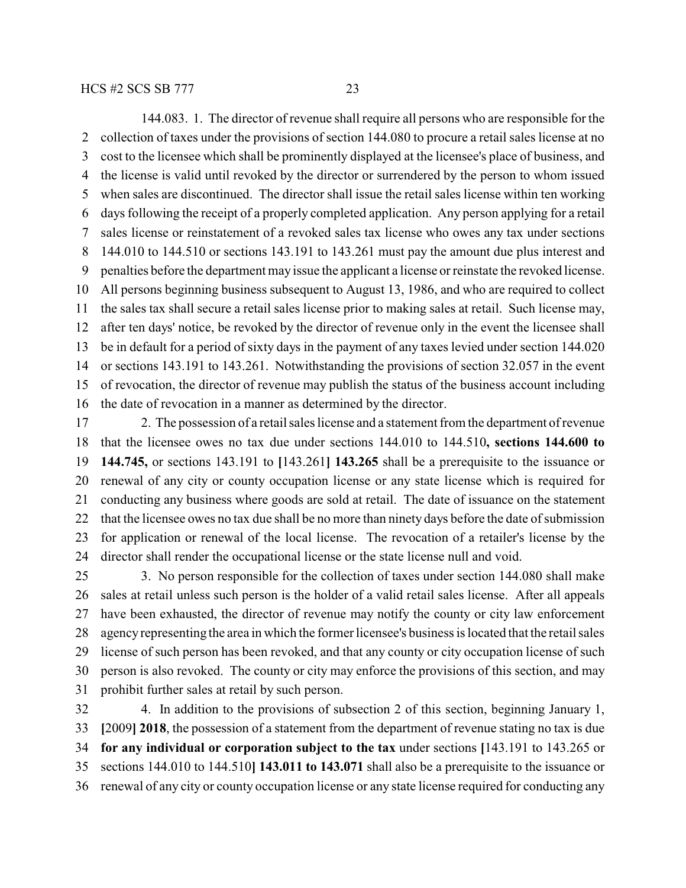144.083. 1. The director of revenue shall require all persons who are responsible for the collection of taxes under the provisions of section 144.080 to procure a retail sales license at no cost to the licensee which shall be prominently displayed at the licensee's place of business, and the license is valid until revoked by the director or surrendered by the person to whom issued when sales are discontinued. The director shall issue the retail sales license within ten working days following the receipt of a properly completed application. Any person applying for a retail sales license or reinstatement of a revoked sales tax license who owes any tax under sections 144.010 to 144.510 or sections 143.191 to 143.261 must pay the amount due plus interest and penalties before the department may issue the applicant a license or reinstate the revoked license. All persons beginning business subsequent to August 13, 1986, and who are required to collect the sales tax shall secure a retail sales license prior to making sales at retail. Such license may, after ten days' notice, be revoked by the director of revenue only in the event the licensee shall be in default for a period of sixty days in the payment of any taxes levied under section 144.020 or sections 143.191 to 143.261. Notwithstanding the provisions of section 32.057 in the event of revocation, the director of revenue may publish the status of the business account including the date of revocation in a manner as determined by the director.

 2. The possession of a retail sales license and a statement from the department of revenue that the licensee owes no tax due under sections 144.010 to 144.510**, sections 144.600 to 144.745,** or sections 143.191 to **[**143.261**] 143.265** shall be a prerequisite to the issuance or renewal of any city or county occupation license or any state license which is required for conducting any business where goods are sold at retail. The date of issuance on the statement that the licensee owes no tax due shall be no more than ninety days before the date of submission for application or renewal of the local license. The revocation of a retailer's license by the director shall render the occupational license or the state license null and void.

 3. No person responsible for the collection of taxes under section 144.080 shall make sales at retail unless such person is the holder of a valid retail sales license. After all appeals have been exhausted, the director of revenue may notify the county or city law enforcement agencyrepresenting the area in which the former licensee's business is located that the retail sales license of such person has been revoked, and that any county or city occupation license of such person is also revoked. The county or city may enforce the provisions of this section, and may prohibit further sales at retail by such person.

 4. In addition to the provisions of subsection 2 of this section, beginning January 1, **[**2009**] 2018**, the possession of a statement from the department of revenue stating no tax is due **for any individual or corporation subject to the tax** under sections **[**143.191 to 143.265 or sections 144.010 to 144.510**] 143.011 to 143.071** shall also be a prerequisite to the issuance or renewal of any city or county occupation license or any state license required for conducting any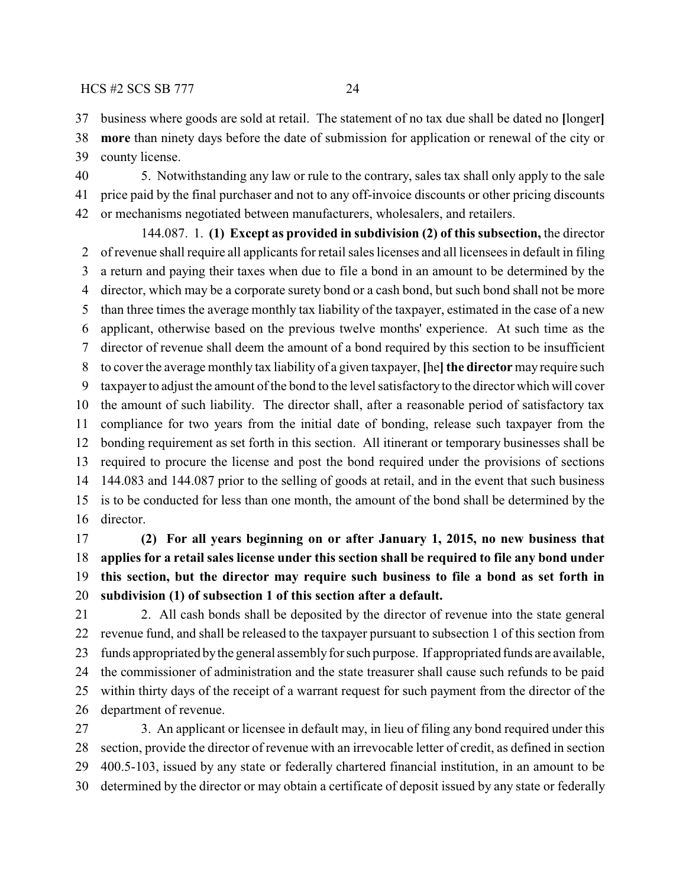business where goods are sold at retail. The statement of no tax due shall be dated no **[**longer**]**

 **more** than ninety days before the date of submission for application or renewal of the city or county license.

 5. Notwithstanding any law or rule to the contrary, sales tax shall only apply to the sale price paid by the final purchaser and not to any off-invoice discounts or other pricing discounts or mechanisms negotiated between manufacturers, wholesalers, and retailers.

144.087. 1. **(1) Except as provided in subdivision (2) of this subsection,** the director of revenue shall require all applicants for retail sales licenses and all licensees in default in filing a return and paying their taxes when due to file a bond in an amount to be determined by the director, which may be a corporate surety bond or a cash bond, but such bond shall not be more than three times the average monthly tax liability of the taxpayer, estimated in the case of a new applicant, otherwise based on the previous twelve months' experience. At such time as the director of revenue shall deem the amount of a bond required by this section to be insufficient to cover the average monthly tax liability of a given taxpayer, **[**he**]the director** may require such taxpayer to adjust the amount of the bond to the level satisfactory to the director which will cover the amount of such liability. The director shall, after a reasonable period of satisfactory tax compliance for two years from the initial date of bonding, release such taxpayer from the bonding requirement as set forth in this section. All itinerant or temporary businesses shall be required to procure the license and post the bond required under the provisions of sections 144.083 and 144.087 prior to the selling of goods at retail, and in the event that such business is to be conducted for less than one month, the amount of the bond shall be determined by the director.

 **(2) For all years beginning on or after January 1, 2015, no new business that applies for a retail sales license under this section shall be required to file any bond under this section, but the director may require such business to file a bond as set forth in subdivision (1) of subsection 1 of this section after a default.**

 2. All cash bonds shall be deposited by the director of revenue into the state general revenue fund, and shall be released to the taxpayer pursuant to subsection 1 of this section from funds appropriated bythe general assemblyfor such purpose. If appropriated funds are available, the commissioner of administration and the state treasurer shall cause such refunds to be paid within thirty days of the receipt of a warrant request for such payment from the director of the department of revenue.

 3. An applicant or licensee in default may, in lieu of filing any bond required under this section, provide the director of revenue with an irrevocable letter of credit, as defined in section 400.5-103, issued by any state or federally chartered financial institution, in an amount to be determined by the director or may obtain a certificate of deposit issued by any state or federally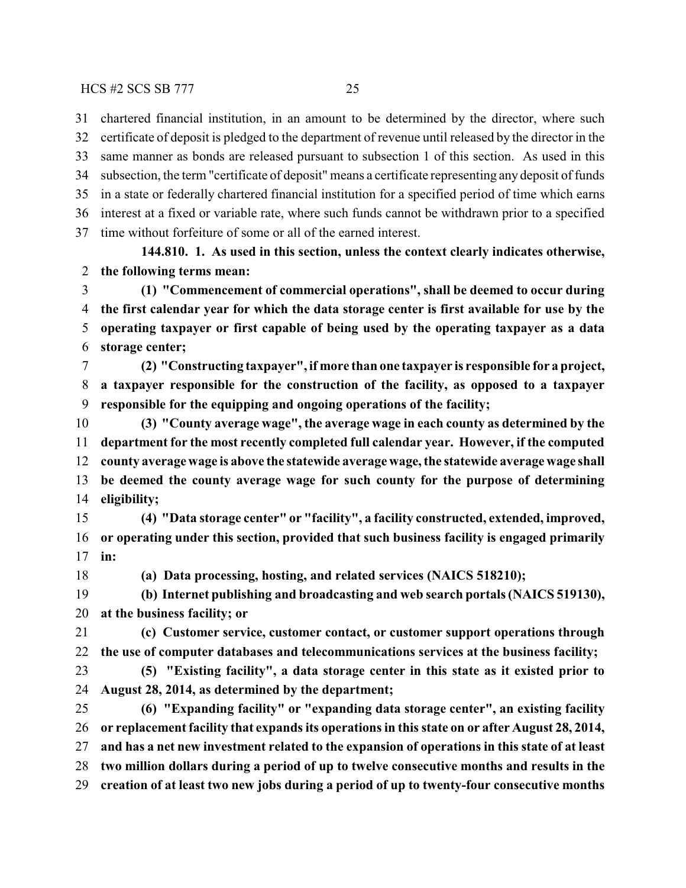chartered financial institution, in an amount to be determined by the director, where such certificate of deposit is pledged to the department of revenue until released by the director in the same manner as bonds are released pursuant to subsection 1 of this section. As used in this subsection, the term "certificate of deposit" means a certificate representing any deposit of funds in a state or federally chartered financial institution for a specified period of time which earns interest at a fixed or variable rate, where such funds cannot be withdrawn prior to a specified time without forfeiture of some or all of the earned interest.

**144.810. 1. As used in this section, unless the context clearly indicates otherwise, the following terms mean:**

 **(1) "Commencement of commercial operations", shall be deemed to occur during the first calendar year for which the data storage center is first available for use by the operating taxpayer or first capable of being used by the operating taxpayer as a data storage center;**

 **(2) "Constructing taxpayer", if more than one taxpayer is responsible for a project, a taxpayer responsible for the construction of the facility, as opposed to a taxpayer responsible for the equipping and ongoing operations of the facility;**

 **(3) "County average wage", the average wage in each county as determined by the department for the most recently completed full calendar year. However, if the computed county average wage is above the statewide average wage, the statewide average wage shall be deemed the county average wage for such county for the purpose of determining eligibility;**

 **(4) "Data storage center" or "facility", a facility constructed, extended, improved, or operating under this section, provided that such business facility is engaged primarily in:**

**(a) Data processing, hosting, and related services (NAICS 518210);**

 **(b) Internet publishing and broadcasting and web search portals (NAICS 519130), at the business facility; or**

 **(c) Customer service, customer contact, or customer support operations through the use of computer databases and telecommunications services at the business facility;**

 **(5) "Existing facility", a data storage center in this state as it existed prior to August 28, 2014, as determined by the department;**

 **(6) "Expanding facility" or "expanding data storage center", an existing facility or replacement facility that expands its operations in this state on or after August 28, 2014, and has a net new investment related to the expansion of operations in this state of at least two million dollars during a period of up to twelve consecutive months and results in the creation of at least two new jobs during a period of up to twenty-four consecutive months**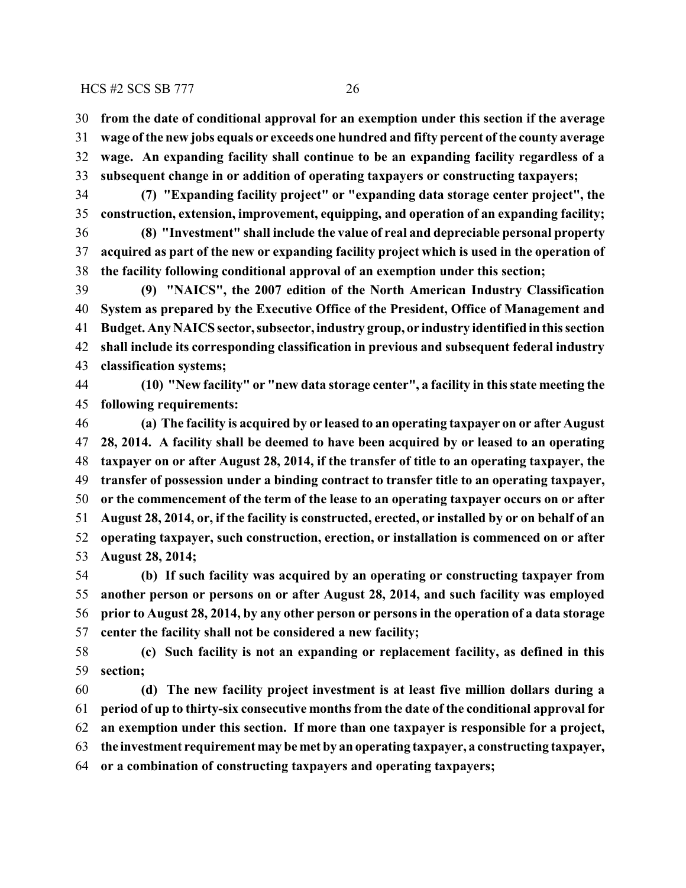- **from the date of conditional approval for an exemption under this section if the average**
- **wage of the new jobs equals or exceeds one hundred and fifty percent of the county average wage. An expanding facility shall continue to be an expanding facility regardless of a subsequent change in or addition of operating taxpayers or constructing taxpayers;**
- **(7) "Expanding facility project" or "expanding data storage center project", the construction, extension, improvement, equipping, and operation of an expanding facility;**
- **(8) "Investment" shall include the value of real and depreciable personal property acquired as part of the new or expanding facility project which is used in the operation of the facility following conditional approval of an exemption under this section;**
- **(9) "NAICS", the 2007 edition of the North American Industry Classification System as prepared by the Executive Office of the President, Office of Management and Budget. Any NAICS sector, subsector, industry group, or industry identified in this section shall include its corresponding classification in previous and subsequent federal industry classification systems;**
- 

 **(10) "New facility" or "new data storage center", a facility in this state meeting the following requirements:**

- **(a) The facility is acquired by or leased to an operating taxpayer on or after August 28, 2014. A facility shall be deemed to have been acquired by or leased to an operating taxpayer on or after August 28, 2014, if the transfer of title to an operating taxpayer, the transfer of possession under a binding contract to transfer title to an operating taxpayer, or the commencement of the term of the lease to an operating taxpayer occurs on or after August 28, 2014, or, if the facility is constructed, erected, or installed by or on behalf of an operating taxpayer, such construction, erection, or installation is commenced on or after August 28, 2014;**
- **(b) If such facility was acquired by an operating or constructing taxpayer from another person or persons on or after August 28, 2014, and such facility was employed prior to August 28, 2014, by any other person or persons in the operation of a data storage center the facility shall not be considered a new facility;**
- **(c) Such facility is not an expanding or replacement facility, as defined in this section;**
- **(d) The new facility project investment is at least five million dollars during a period of up to thirty-six consecutive months from the date of the conditional approval for an exemption under this section. If more than one taxpayer is responsible for a project, the investment requirement may be met by an operating taxpayer, a constructing taxpayer, or a combination of constructing taxpayers and operating taxpayers;**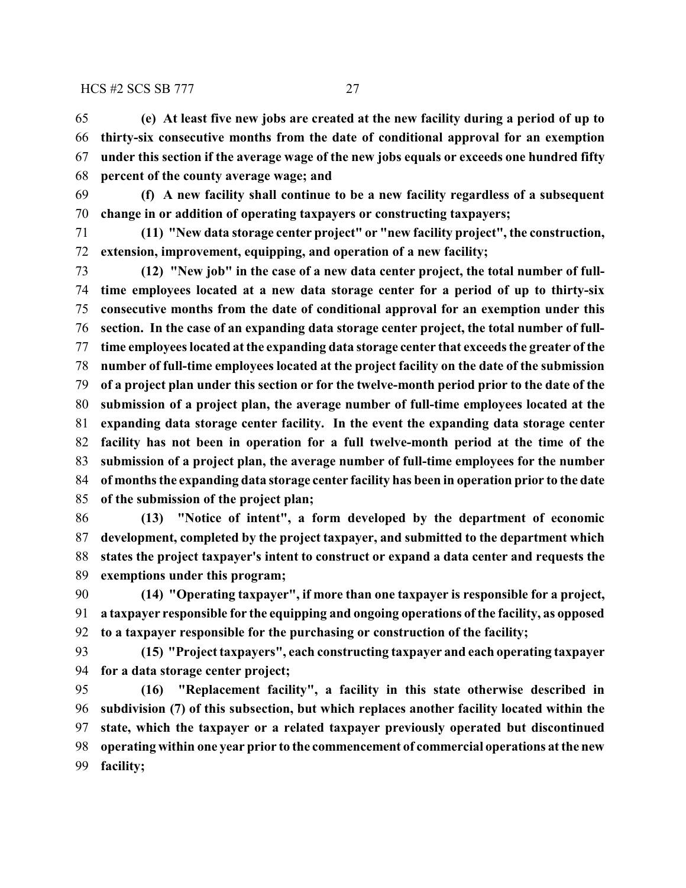**(e) At least five new jobs are created at the new facility during a period of up to thirty-six consecutive months from the date of conditional approval for an exemption under this section if the average wage of the new jobs equals or exceeds one hundred fifty percent of the county average wage; and**

 **(f) A new facility shall continue to be a new facility regardless of a subsequent change in or addition of operating taxpayers or constructing taxpayers;**

 **(11) "New data storage center project" or "new facility project", the construction, extension, improvement, equipping, and operation of a new facility;**

 **(12) "New job" in the case of a new data center project, the total number of full- time employees located at a new data storage center for a period of up to thirty-six consecutive months from the date of conditional approval for an exemption under this section. In the case of an expanding data storage center project, the total number of full- time employees located at the expanding data storage center that exceeds the greater of the number of full-time employees located at the project facility on the date of the submission of a project plan under this section or for the twelve-month period prior to the date of the submission of a project plan, the average number of full-time employees located at the expanding data storage center facility. In the event the expanding data storage center facility has not been in operation for a full twelve-month period at the time of the submission of a project plan, the average number of full-time employees for the number of months the expanding data storage center facility has been in operation prior to the date of the submission of the project plan;**

 **(13) "Notice of intent", a form developed by the department of economic development, completed by the project taxpayer, and submitted to the department which states the project taxpayer's intent to construct or expand a data center and requests the exemptions under this program;**

 **(14) "Operating taxpayer", if more than one taxpayer is responsible for a project, a taxpayer responsible for the equipping and ongoing operations of the facility, as opposed to a taxpayer responsible for the purchasing or construction of the facility;**

 **(15) "Project taxpayers", each constructing taxpayer and each operating taxpayer for a data storage center project;**

 **(16) "Replacement facility", a facility in this state otherwise described in subdivision (7) of this subsection, but which replaces another facility located within the state, which the taxpayer or a related taxpayer previously operated but discontinued operating within one year prior to the commencement of commercial operations at the new facility;**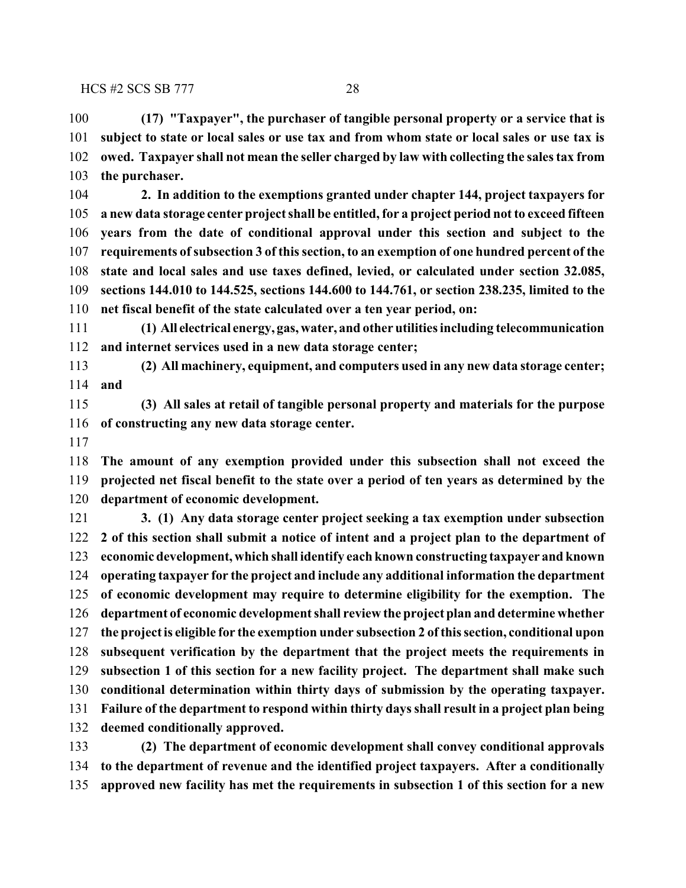**(17) "Taxpayer", the purchaser of tangible personal property or a service that is subject to state or local sales or use tax and from whom state or local sales or use tax is owed. Taxpayer shall not mean the seller charged by law with collecting the sales tax from the purchaser.**

 **2. In addition to the exemptions granted under chapter 144, project taxpayers for a new data storage center project shall be entitled, for a project period not to exceed fifteen years from the date of conditional approval under this section and subject to the requirements ofsubsection 3 of this section, to an exemption of one hundred percent of the state and local sales and use taxes defined, levied, or calculated under section 32.085, sections 144.010 to 144.525, sections 144.600 to 144.761, or section 238.235, limited to the net fiscal benefit of the state calculated over a ten year period, on:**

 **(1) All electrical energy, gas, water, and other utilities including telecommunication and internet services used in a new data storage center;**

 **(2) All machinery, equipment, and computers used in any new data storage center; and**

 **(3) All sales at retail of tangible personal property and materials for the purpose of constructing any new data storage center.**

 **The amount of any exemption provided under this subsection shall not exceed the projected net fiscal benefit to the state over a period of ten years as determined by the department of economic development.**

 **3. (1) Any data storage center project seeking a tax exemption under subsection 2 of this section shall submit a notice of intent and a project plan to the department of economic development, which shall identify each known constructing taxpayer and known operating taxpayer for the project and include any additional information the department of economic development may require to determine eligibility for the exemption. The department of economic development shall review the project plan and determine whether the project is eligible for the exemption under subsection 2 of this section, conditional upon subsequent verification by the department that the project meets the requirements in subsection 1 of this section for a new facility project. The department shall make such conditional determination within thirty days of submission by the operating taxpayer. Failure of the department to respond within thirty days shall result in a project plan being deemed conditionally approved.**

 **(2) The department of economic development shall convey conditional approvals to the department of revenue and the identified project taxpayers. After a conditionally approved new facility has met the requirements in subsection 1 of this section for a new**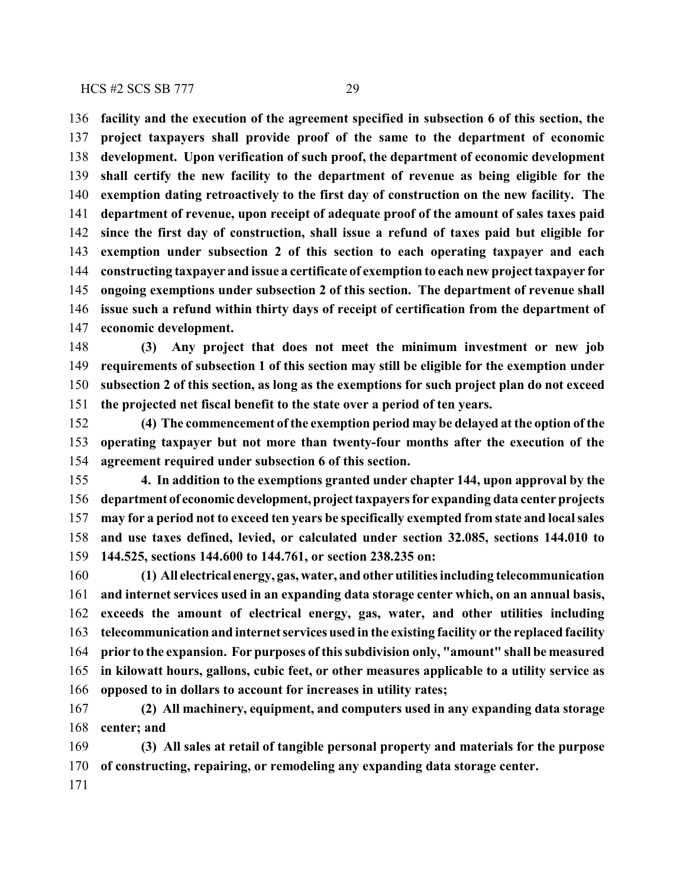**facility and the execution of the agreement specified in subsection 6 of this section, the project taxpayers shall provide proof of the same to the department of economic development. Upon verification of such proof, the department of economic development shall certify the new facility to the department of revenue as being eligible for the exemption dating retroactively to the first day of construction on the new facility. The department of revenue, upon receipt of adequate proof of the amount of sales taxes paid since the first day of construction, shall issue a refund of taxes paid but eligible for exemption under subsection 2 of this section to each operating taxpayer and each constructing taxpayer and issue a certificate of exemption to each new project taxpayer for ongoing exemptions under subsection 2 of this section. The department of revenue shall issue such a refund within thirty days of receipt of certification from the department of economic development.**

 **(3) Any project that does not meet the minimum investment or new job requirements of subsection 1 of this section may still be eligible for the exemption under subsection 2 of this section, as long as the exemptions for such project plan do not exceed the projected net fiscal benefit to the state over a period of ten years.**

 **(4) The commencement of the exemption period may be delayed at the option of the operating taxpayer but not more than twenty-four months after the execution of the agreement required under subsection 6 of this section.**

 **4. In addition to the exemptions granted under chapter 144, upon approval by the department of economicdevelopment,projecttaxpayers for expanding data center projects may for a period not to exceed ten years be specifically exempted from state and local sales and use taxes defined, levied, or calculated under section 32.085, sections 144.010 to 144.525, sections 144.600 to 144.761, or section 238.235 on:**

 **(1) All electrical energy, gas, water, and other utilities including telecommunication and internet services used in an expanding data storage center which, on an annual basis, exceeds the amount of electrical energy, gas, water, and other utilities including telecommunication and internet services used in the existing facility or the replaced facility prior to the expansion. For purposes of this subdivision only, "amount" shall be measured in kilowatt hours, gallons, cubic feet, or other measures applicable to a utility service as opposed to in dollars to account for increases in utility rates;**

 **(2) All machinery, equipment, and computers used in any expanding data storage center; and**

 **(3) All sales at retail of tangible personal property and materials for the purpose of constructing, repairing, or remodeling any expanding data storage center.**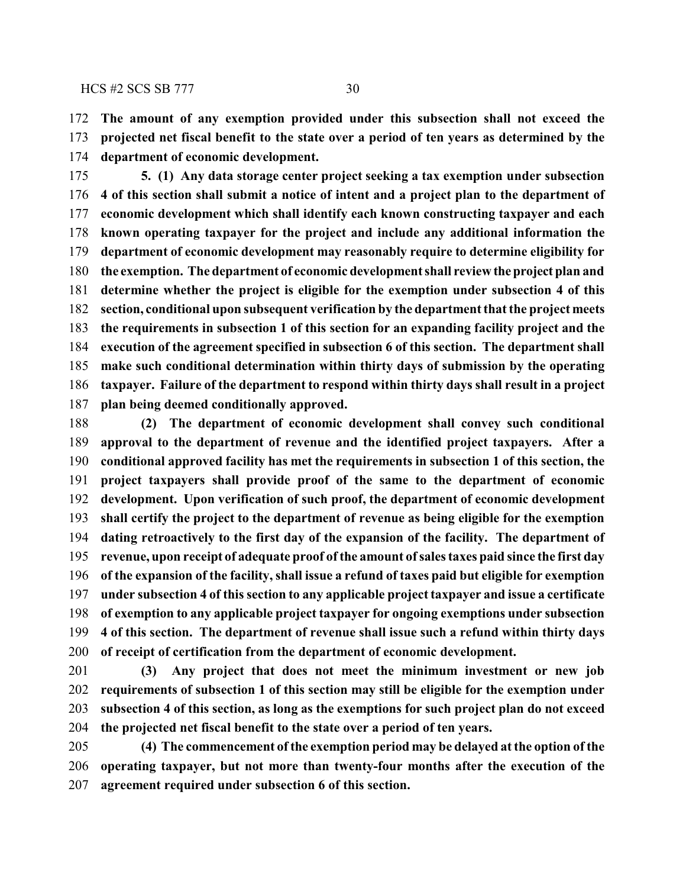**The amount of any exemption provided under this subsection shall not exceed the projected net fiscal benefit to the state over a period of ten years as determined by the department of economic development.**

 **5. (1) Any data storage center project seeking a tax exemption under subsection 4 of this section shall submit a notice of intent and a project plan to the department of economic development which shall identify each known constructing taxpayer and each known operating taxpayer for the project and include any additional information the department of economic development may reasonably require to determine eligibility for the exemption. The department of economic development shall review theproject plan and determine whether the project is eligible for the exemption under subsection 4 of this section, conditional upon subsequent verification by the department that the project meets the requirements in subsection 1 of this section for an expanding facility project and the execution of the agreement specified in subsection 6 of this section. The department shall make such conditional determination within thirty days of submission by the operating taxpayer. Failure of the department to respond within thirty days shall result in a project plan being deemed conditionally approved.**

 **(2) The department of economic development shall convey such conditional approval to the department of revenue and the identified project taxpayers. After a conditional approved facility has met the requirements in subsection 1 of this section, the project taxpayers shall provide proof of the same to the department of economic development. Upon verification of such proof, the department of economic development shall certify the project to the department of revenue as being eligible for the exemption dating retroactively to the first day of the expansion of the facility. The department of revenue, upon receipt of adequate proof of the amount ofsales taxes paid since the first day of the expansion of the facility, shall issue a refund of taxes paid but eligible for exemption under subsection 4 of this section to any applicable project taxpayer and issue a certificate of exemption to any applicable project taxpayer for ongoing exemptions under subsection 4 of this section. The department of revenue shall issue such a refund within thirty days of receipt of certification from the department of economic development.**

 **(3) Any project that does not meet the minimum investment or new job requirements of subsection 1 of this section may still be eligible for the exemption under subsection 4 of this section, as long as the exemptions for such project plan do not exceed the projected net fiscal benefit to the state over a period of ten years.**

 **(4) The commencement of the exemption period may be delayed at the option of the operating taxpayer, but not more than twenty-four months after the execution of the agreement required under subsection 6 of this section.**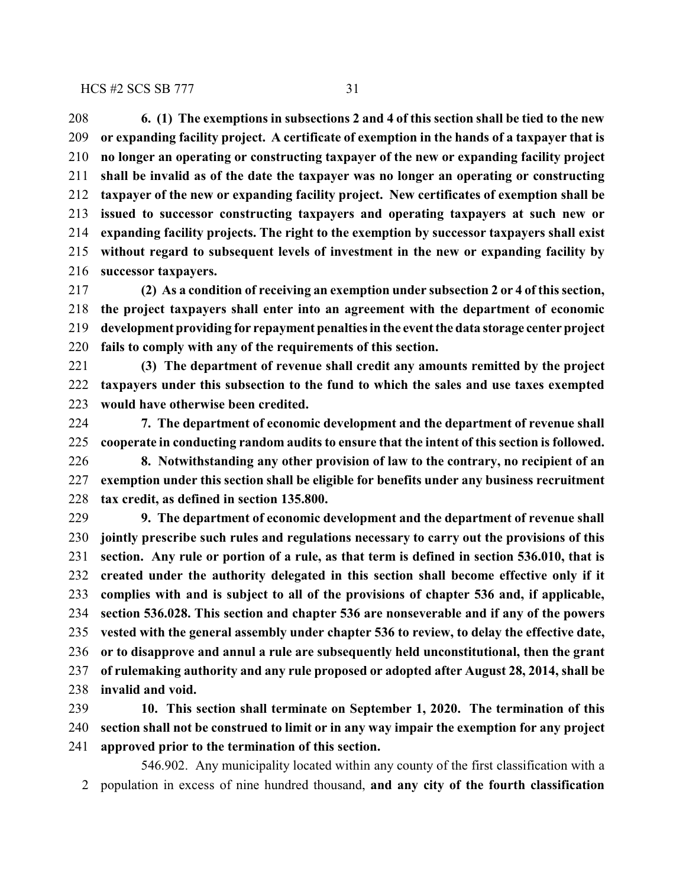**6. (1) The exemptions in subsections 2 and 4 of this section shall be tied to the new or expanding facility project. A certificate of exemption in the hands of a taxpayer that is no longer an operating or constructing taxpayer of the new or expanding facility project shall be invalid as of the date the taxpayer was no longer an operating or constructing taxpayer of the new or expanding facility project. New certificates of exemption shall be issued to successor constructing taxpayers and operating taxpayers at such new or expanding facility projects. The right to the exemption by successor taxpayers shall exist without regard to subsequent levels of investment in the new or expanding facility by successor taxpayers.**

 **(2) As a condition of receiving an exemption under subsection 2 or 4 of this section, the project taxpayers shall enter into an agreement with the department of economic development providing for repayment penalties in the event the data storage center project fails to comply with any of the requirements of this section.**

 **(3) The department of revenue shall credit any amounts remitted by the project taxpayers under this subsection to the fund to which the sales and use taxes exempted would have otherwise been credited.**

 **7. The department of economic development and the department of revenue shall cooperate in conducting random audits to ensure that the intent of this section is followed.**

 **8. Notwithstanding any other provision of law to the contrary, no recipient of an exemption under this section shall be eligible for benefits under any business recruitment tax credit, as defined in section 135.800.**

 **9. The department of economic development and the department of revenue shall jointly prescribe such rules and regulations necessary to carry out the provisions of this section. Any rule or portion of a rule, as that term is defined in section 536.010, that is created under the authority delegated in this section shall become effective only if it complies with and is subject to all of the provisions of chapter 536 and, if applicable, section 536.028. This section and chapter 536 are nonseverable and if any of the powers vested with the general assembly under chapter 536 to review, to delay the effective date, or to disapprove and annul a rule are subsequently held unconstitutional, then the grant of rulemaking authority and any rule proposed or adopted after August 28, 2014, shall be invalid and void.**

 **10. This section shall terminate on September 1, 2020. The termination of this section shall not be construed to limit or in any way impair the exemption for any project approved prior to the termination of this section.**

546.902. Any municipality located within any county of the first classification with a population in excess of nine hundred thousand, **and any city of the fourth classification**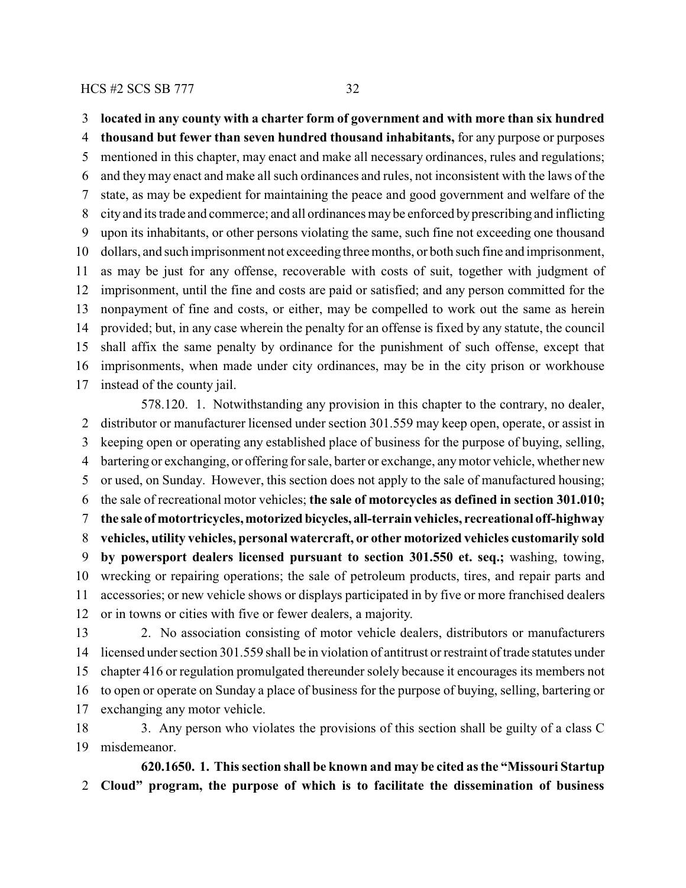**located in any county with a charter form of government and with more than six hundred**

 **thousand but fewer than seven hundred thousand inhabitants,** for any purpose or purposes mentioned in this chapter, may enact and make all necessary ordinances, rules and regulations; and they may enact and make all such ordinances and rules, not inconsistent with the laws of the state, as may be expedient for maintaining the peace and good government and welfare of the cityand its trade and commerce; and all ordinances may be enforced by prescribing and inflicting upon its inhabitants, or other persons violating the same, such fine not exceeding one thousand dollars, and such imprisonment not exceeding three months, or both such fine and imprisonment, as may be just for any offense, recoverable with costs of suit, together with judgment of imprisonment, until the fine and costs are paid or satisfied; and any person committed for the nonpayment of fine and costs, or either, may be compelled to work out the same as herein provided; but, in any case wherein the penalty for an offense is fixed by any statute, the council shall affix the same penalty by ordinance for the punishment of such offense, except that imprisonments, when made under city ordinances, may be in the city prison or workhouse instead of the county jail.

578.120. 1. Notwithstanding any provision in this chapter to the contrary, no dealer, distributor or manufacturer licensed under section 301.559 may keep open, operate, or assist in keeping open or operating any established place of business for the purpose of buying, selling, bartering or exchanging, or offering for sale, barter or exchange, anymotor vehicle, whether new or used, on Sunday. However, this section does not apply to the sale of manufactured housing; the sale of recreational motor vehicles; **the sale of motorcycles as defined in section 301.010; the sale of motortricycles, motorized bicycles, all-terrain vehicles, recreational off-highway vehicles, utility vehicles, personal watercraft, or other motorized vehicles customarily sold by powersport dealers licensed pursuant to section 301.550 et. seq.;** washing, towing, wrecking or repairing operations; the sale of petroleum products, tires, and repair parts and accessories; or new vehicle shows or displays participated in by five or more franchised dealers or in towns or cities with five or fewer dealers, a majority.

 2. No association consisting of motor vehicle dealers, distributors or manufacturers licensed under section 301.559 shall be in violation of antitrust or restraint of trade statutes under chapter 416 or regulation promulgated thereunder solely because it encourages its members not to open or operate on Sunday a place of business for the purpose of buying, selling, bartering or exchanging any motor vehicle.

 3. Any person who violates the provisions of this section shall be guilty of a class C misdemeanor.

**620.1650. 1. This section shall be known and may be cited as the "Missouri Startup Cloud" program, the purpose of which is to facilitate the dissemination of business**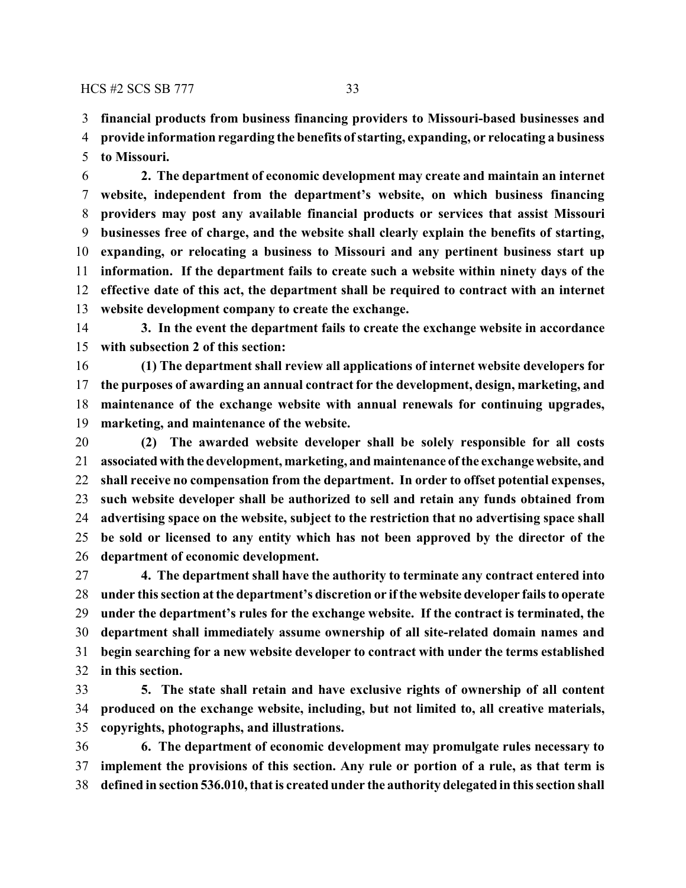**financial products from business financing providers to Missouri-based businesses and**

 **provide information regarding the benefits ofstarting, expanding, or relocating a business to Missouri.**

 **2. The department of economic development may create and maintain an internet website, independent from the department's website, on which business financing providers may post any available financial products or services that assist Missouri businesses free of charge, and the website shall clearly explain the benefits of starting, expanding, or relocating a business to Missouri and any pertinent business start up information. If the department fails to create such a website within ninety days of the effective date of this act, the department shall be required to contract with an internet website development company to create the exchange.**

 **3. In the event the department fails to create the exchange website in accordance with subsection 2 of this section:**

 **(1) The department shall review all applications of internet website developers for the purposes of awarding an annual contract for the development, design, marketing, and maintenance of the exchange website with annual renewals for continuing upgrades, marketing, and maintenance of the website.**

 **(2) The awarded website developer shall be solely responsible for all costs associatedwith thedevelopment, marketing, and maintenance ofthe exchange website, and shall receive no compensation from the department. In order to offset potential expenses, such website developer shall be authorized to sell and retain any funds obtained from advertising space on the website, subject to the restriction that no advertising space shall be sold or licensed to any entity which has not been approved by the director of the department of economic development.**

 **4. The department shall have the authority to terminate any contract entered into under this section at the department's discretion or ifthe website developer fails to operate under the department's rules for the exchange website. If the contract is terminated, the department shall immediately assume ownership of all site-related domain names and begin searching for a new website developer to contract with under the terms established in this section.**

 **5. The state shall retain and have exclusive rights of ownership of all content produced on the exchange website, including, but not limited to, all creative materials, copyrights, photographs, and illustrations.**

 **6. The department of economic development may promulgate rules necessary to implement the provisions of this section. Any rule or portion of a rule, as that term is defined in section 536.010, that is created under the authority delegated in this section shall**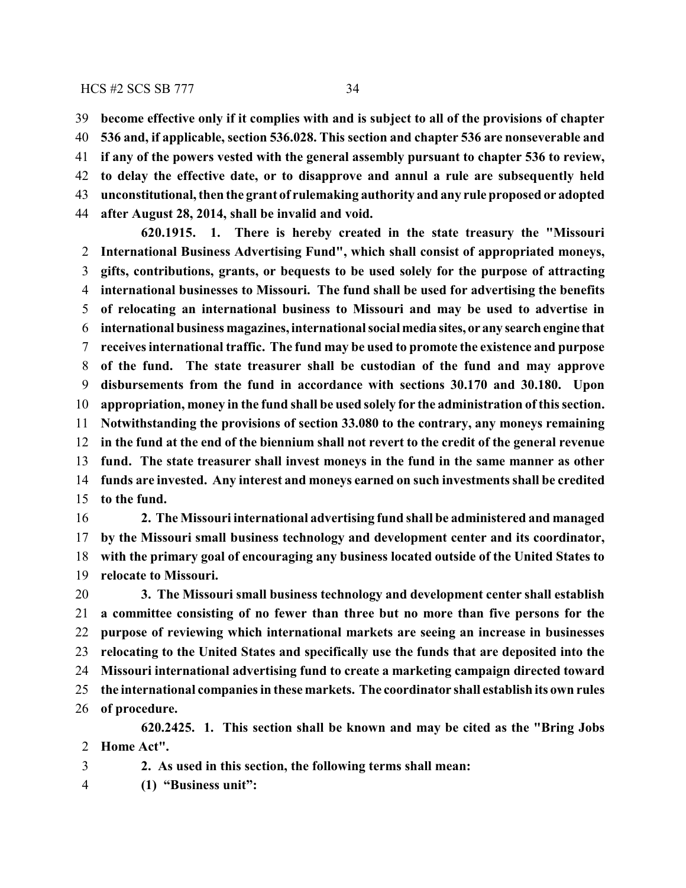**become effective only if it complies with and is subject to all of the provisions of chapter 536 and, if applicable, section 536.028. This section and chapter 536 are nonseverable and if any of the powers vested with the general assembly pursuant to chapter 536 to review, to delay the effective date, or to disapprove and annul a rule are subsequently held unconstitutional, then the grant of rulemaking authority and any rule proposed or adopted after August 28, 2014, shall be invalid and void.**

**620.1915. 1. There is hereby created in the state treasury the "Missouri International Business Advertising Fund", which shall consist of appropriated moneys, gifts, contributions, grants, or bequests to be used solely for the purpose of attracting international businesses to Missouri. The fund shall be used for advertising the benefits of relocating an international business to Missouri and may be used to advertise in international business magazines, international social media sites, or any search engine that receives international traffic. The fund may be used to promote the existence and purpose of the fund. The state treasurer shall be custodian of the fund and may approve disbursements from the fund in accordance with sections 30.170 and 30.180. Upon appropriation, money in the fund shall be used solely for the administration of this section. Notwithstanding the provisions of section 33.080 to the contrary, any moneys remaining in the fund at the end of the biennium shall not revert to the credit of the general revenue fund. The state treasurer shall invest moneys in the fund in the same manner as other funds are invested. Any interest and moneys earned on such investments shall be credited to the fund.**

 **2. The Missouri international advertising fund shall be administered and managed by the Missouri small business technology and development center and its coordinator, with the primary goal of encouraging any business located outside of the United States to relocate to Missouri.**

 **3. The Missouri small business technology and development center shall establish a committee consisting of no fewer than three but no more than five persons for the purpose of reviewing which international markets are seeing an increase in businesses relocating to the United States and specifically use the funds that are deposited into the Missouri international advertising fund to create a marketing campaign directed toward the international companies in these markets. The coordinator shall establish its own rules of procedure.**

**620.2425. 1. This section shall be known and may be cited as the "Bring Jobs Home Act".**

- **2. As used in this section, the following terms shall mean:**
- **(1) "Business unit":**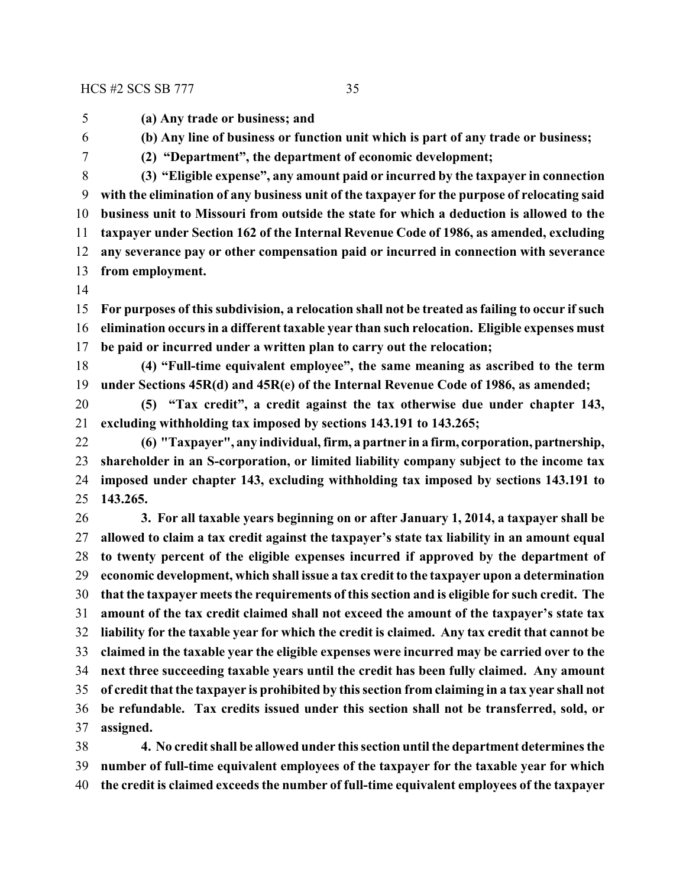**(a) Any trade or business; and**

**(b) Any line of business or function unit which is part of any trade or business;**

**(2) "Department", the department of economic development;**

 **(3) "Eligible expense", any amount paid or incurred by the taxpayer in connection with the elimination of any business unit of the taxpayer for the purpose of relocating said business unit to Missouri from outside the state for which a deduction is allowed to the taxpayer under Section 162 of the Internal Revenue Code of 1986, as amended, excluding any severance pay or other compensation paid or incurred in connection with severance from employment.**

 **For purposes of this subdivision, a relocation shall not be treated as failing to occur ifsuch elimination occurs in a different taxable year than such relocation. Eligible expenses must be paid or incurred under a written plan to carry out the relocation;**

 **(4) "Full-time equivalent employee", the same meaning as ascribed to the term under Sections 45R(d) and 45R(e) of the Internal Revenue Code of 1986, as amended;**

 **(5) "Tax credit", a credit against the tax otherwise due under chapter 143, excluding withholding tax imposed by sections 143.191 to 143.265;**

 **(6) "Taxpayer", any individual, firm, a partner in a firm, corporation, partnership, shareholder in an S-corporation, or limited liability company subject to the income tax imposed under chapter 143, excluding withholding tax imposed by sections 143.191 to 143.265.**

 **3. For all taxable years beginning on or after January 1, 2014, a taxpayer shall be allowed to claim a tax credit against the taxpayer's state tax liability in an amount equal to twenty percent of the eligible expenses incurred if approved by the department of economic development, which shall issue a tax credit to the taxpayer upon a determination that the taxpayer meets the requirements of this section and is eligible for such credit. The amount of the tax credit claimed shall not exceed the amount of the taxpayer's state tax liability for the taxable year for which the credit is claimed. Any tax credit that cannot be claimed in the taxable year the eligible expenses were incurred may be carried over to the next three succeeding taxable years until the credit has been fully claimed. Any amount of credit that the taxpayer is prohibited by this section from claiming in a tax year shall not be refundable. Tax credits issued under this section shall not be transferred, sold, or assigned.**

 **4. No credit shall be allowed under this section until the department determines the number of full-time equivalent employees of the taxpayer for the taxable year for which the credit is claimed exceeds the number of full-time equivalent employees of the taxpayer**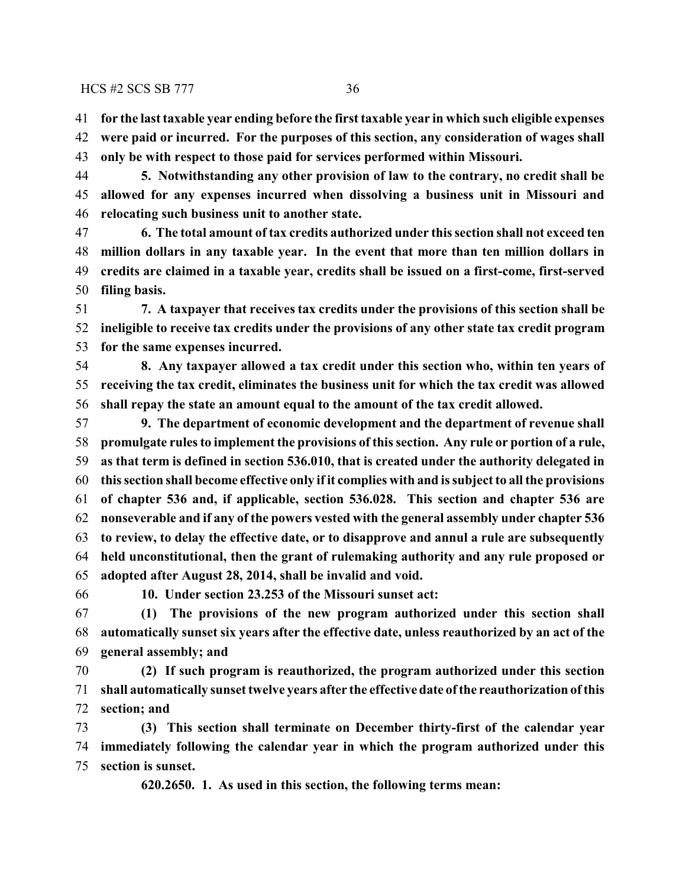**for the last taxable year ending before the first taxable year in which such eligible expenses**

 **were paid or incurred. For the purposes of this section, any consideration of wages shall only be with respect to those paid for services performed within Missouri.**

 **5. Notwithstanding any other provision of law to the contrary, no credit shall be allowed for any expenses incurred when dissolving a business unit in Missouri and relocating such business unit to another state.**

 **6. The total amount of tax credits authorized under this section shall not exceed ten million dollars in any taxable year. In the event that more than ten million dollars in credits are claimed in a taxable year, credits shall be issued on a first-come, first-served filing basis.**

 **7. A taxpayer that receives tax credits under the provisions of this section shall be ineligible to receive tax credits under the provisions of any other state tax credit program for the same expenses incurred.**

 **8. Any taxpayer allowed a tax credit under this section who, within ten years of receiving the tax credit, eliminates the business unit for which the tax credit was allowed shall repay the state an amount equal to the amount of the tax credit allowed.**

 **9. The department of economic development and the department of revenue shall promulgate rules to implement the provisions of this section. Any rule or portion of a rule, as that term is defined in section 536.010, that is created under the authority delegated in this section shall become effective only ifit complies with and is subject to all the provisions of chapter 536 and, if applicable, section 536.028. This section and chapter 536 are nonseverable and if any of the powers vested with the general assembly under chapter 536 to review, to delay the effective date, or to disapprove and annul a rule are subsequently held unconstitutional, then the grant of rulemaking authority and any rule proposed or adopted after August 28, 2014, shall be invalid and void.**

**10. Under section 23.253 of the Missouri sunset act:**

 **(1) The provisions of the new program authorized under this section shall automatically sunset six years after the effective date, unless reauthorized by an act of the general assembly; and**

 **(2) If such program is reauthorized, the program authorized under this section shall automatically sunset twelve years after the effective date ofthe reauthorization ofthis section; and**

 **(3) This section shall terminate on December thirty-first of the calendar year immediately following the calendar year in which the program authorized under this section is sunset.**

**620.2650. 1. As used in this section, the following terms mean:**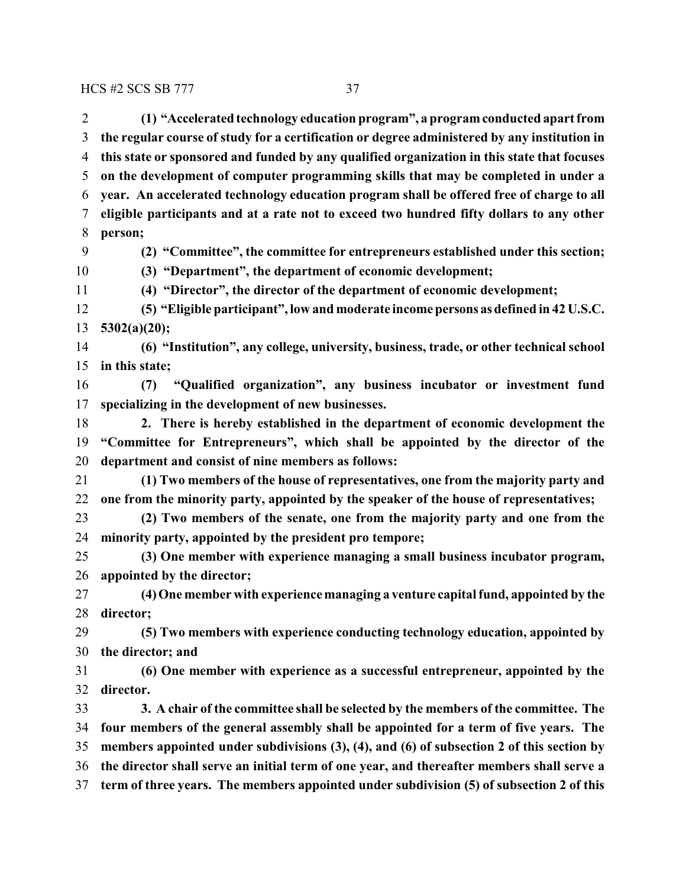**(1) "Accelerated technology education program", a programconducted apart from the regular course of study for a certification or degree administered by any institution in this state or sponsored and funded by any qualified organization in this state that focuses on the development of computer programming skills that may be completed in under a year. An accelerated technology education program shall be offered free of charge to all eligible participants and at a rate not to exceed two hundred fifty dollars to any other person; (2) "Committee", the committee for entrepreneurs established under this section; (3) "Department", the department of economic development; (4) "Director", the director of the department of economic development; (5) "Eligible participant", low and moderate income persons asdefined in 42 U.S.C. 5302(a)(20); (6) "Institution", any college, university, business, trade, or other technical school in this state; (7) "Qualified organization", any business incubator or investment fund specializing in the development of new businesses. 2. There is hereby established in the department of economic development the "Committee for Entrepreneurs", which shall be appointed by the director of the department and consist of nine members as follows: (1) Two members of the house of representatives, one from the majority party and one from the minority party, appointed by the speaker of the house of representatives; (2) Two members of the senate, one from the majority party and one from the minority party, appointed by the president pro tempore; (3) One member with experience managing a small business incubator program, appointed by the director; (4)One member with experience managing a venture capital fund, appointed by the director; (5) Two members with experience conducting technology education, appointed by the director; and (6) One member with experience as a successful entrepreneur, appointed by the director. 3. A chair of the committee shall be selected by the members of the committee. The four members of the general assembly shall be appointed for a term of five years. The members appointed under subdivisions (3), (4), and (6) of subsection 2 of this section by the director shall serve an initial term of one year, and thereafter members shall serve a term of three years. The members appointed under subdivision (5) of subsection 2 of this**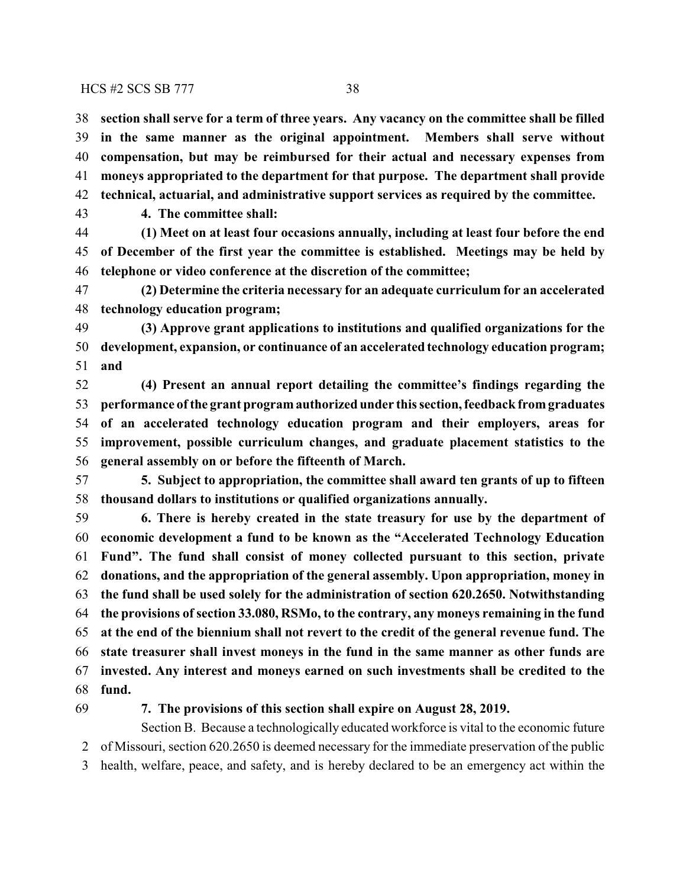**section shall serve for a term of three years. Any vacancy on the committee shall be filled in the same manner as the original appointment. Members shall serve without compensation, but may be reimbursed for their actual and necessary expenses from moneys appropriated to the department for that purpose. The department shall provide technical, actuarial, and administrative support services as required by the committee.**

**4. The committee shall:**

 **(1) Meet on at least four occasions annually, including at least four before the end of December of the first year the committee is established. Meetings may be held by telephone or video conference at the discretion of the committee;**

 **(2) Determine the criteria necessary for an adequate curriculum for an accelerated technology education program;**

 **(3) Approve grant applications to institutions and qualified organizations for the development, expansion, or continuance of an accelerated technology education program; and**

 **(4) Present an annual report detailing the committee's findings regarding the performance of the grant programauthorized under this section, feedback from graduates of an accelerated technology education program and their employers, areas for improvement, possible curriculum changes, and graduate placement statistics to the general assembly on or before the fifteenth of March.**

 **5. Subject to appropriation, the committee shall award ten grants of up to fifteen thousand dollars to institutions or qualified organizations annually.**

 **6. There is hereby created in the state treasury for use by the department of economic development a fund to be known as the "Accelerated Technology Education Fund". The fund shall consist of money collected pursuant to this section, private donations, and the appropriation of the general assembly. Upon appropriation, money in the fund shall be used solely for the administration of section 620.2650. Notwithstanding the provisions ofsection 33.080, RSMo, to the contrary, any moneys remaining in the fund at the end of the biennium shall not revert to the credit of the general revenue fund. The state treasurer shall invest moneys in the fund in the same manner as other funds are invested. Any interest and moneys earned on such investments shall be credited to the fund.**

## **7. The provisions of this section shall expire on August 28, 2019.**

Section B. Because a technologically educated workforce is vital to the economic future of Missouri, section 620.2650 is deemed necessary for the immediate preservation of the public health, welfare, peace, and safety, and is hereby declared to be an emergency act within the